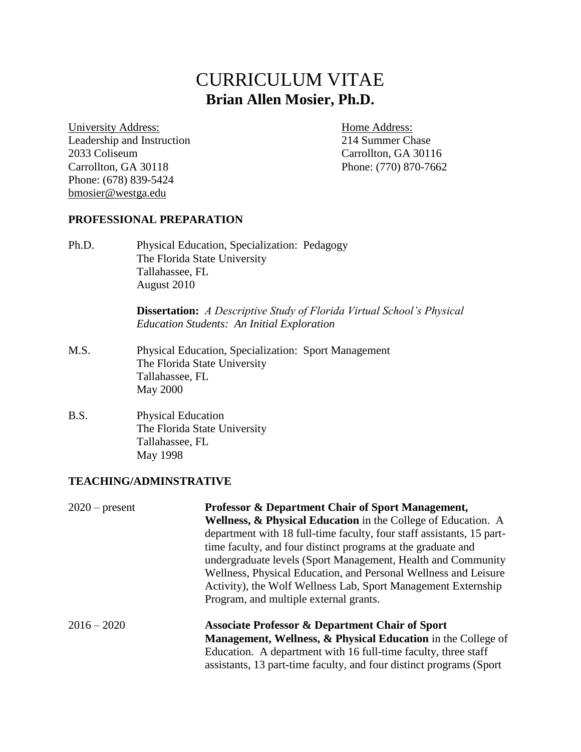# CURRICULUM VITAE **Brian Allen Mosier, Ph.D.**

University Address: Home Address: Leadership and Instruction 214 Summer Chase 2033 Coliseum Carrollton, GA 30116 Carrollton, GA 30118 Phone: (770) 870-7662 Phone: (678) 839-5424 [bmosier@westga.edu](mailto:bmosier@westga.edu)

#### **PROFESSIONAL PREPARATION**

Ph.D. Physical Education, Specialization: Pedagogy The Florida State University Tallahassee, FL August 2010

> **Dissertation:** *A Descriptive Study of Florida Virtual School's Physical Education Students: An Initial Exploration*

- M.S. Physical Education, Specialization: Sport Management The Florida State University Tallahassee, FL May 2000
- B.S. Physical Education The Florida State University Tallahassee, FL May 1998

#### **TEACHING/ADMINSTRATIVE**

| $2020$ – present | <b>Professor &amp; Department Chair of Sport Management,</b><br><b>Wellness, &amp; Physical Education</b> in the College of Education. A<br>department with 18 full-time faculty, four staff assistants, 15 part-<br>time faculty, and four distinct programs at the graduate and<br>undergraduate levels (Sport Management, Health and Community<br>Wellness, Physical Education, and Personal Wellness and Leisure<br>Activity), the Wolf Wellness Lab, Sport Management Externship<br>Program, and multiple external grants. |
|------------------|---------------------------------------------------------------------------------------------------------------------------------------------------------------------------------------------------------------------------------------------------------------------------------------------------------------------------------------------------------------------------------------------------------------------------------------------------------------------------------------------------------------------------------|
| $2016 - 2020$    | <b>Associate Professor &amp; Department Chair of Sport</b><br><b>Management, Wellness, &amp; Physical Education</b> in the College of<br>Education. A department with 16 full-time faculty, three staff<br>assistants, 13 part-time faculty, and four distinct programs (Sport)                                                                                                                                                                                                                                                 |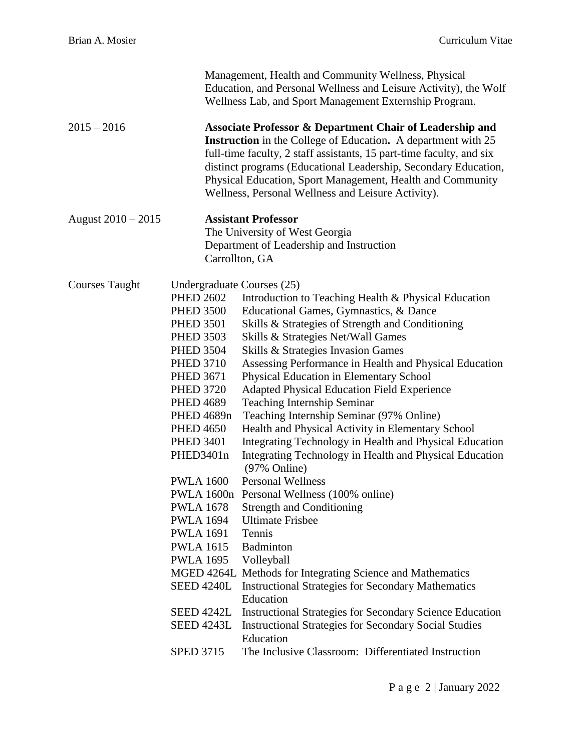|                       |                                                                                                                                                                                                                                                                                                                                                                                                                                                                                | Management, Health and Community Wellness, Physical<br>Education, and Personal Wellness and Leisure Activity), the Wolf<br>Wellness Lab, and Sport Management Externship Program.                                                                                                                                                                                                                                                                                                                                                                                                                                                                                                                                                                                                                                                                                                                                                                                                                                                                                                                                                                                                                                 |
|-----------------------|--------------------------------------------------------------------------------------------------------------------------------------------------------------------------------------------------------------------------------------------------------------------------------------------------------------------------------------------------------------------------------------------------------------------------------------------------------------------------------|-------------------------------------------------------------------------------------------------------------------------------------------------------------------------------------------------------------------------------------------------------------------------------------------------------------------------------------------------------------------------------------------------------------------------------------------------------------------------------------------------------------------------------------------------------------------------------------------------------------------------------------------------------------------------------------------------------------------------------------------------------------------------------------------------------------------------------------------------------------------------------------------------------------------------------------------------------------------------------------------------------------------------------------------------------------------------------------------------------------------------------------------------------------------------------------------------------------------|
| $2015 - 2016$         |                                                                                                                                                                                                                                                                                                                                                                                                                                                                                | Associate Professor & Department Chair of Leadership and<br><b>Instruction</b> in the College of Education. A department with 25<br>full-time faculty, 2 staff assistants, 15 part-time faculty, and six<br>distinct programs (Educational Leadership, Secondary Education,<br>Physical Education, Sport Management, Health and Community<br>Wellness, Personal Wellness and Leisure Activity).                                                                                                                                                                                                                                                                                                                                                                                                                                                                                                                                                                                                                                                                                                                                                                                                                   |
| August 2010 - 2015    |                                                                                                                                                                                                                                                                                                                                                                                                                                                                                | <b>Assistant Professor</b><br>The University of West Georgia<br>Department of Leadership and Instruction<br>Carrollton, GA                                                                                                                                                                                                                                                                                                                                                                                                                                                                                                                                                                                                                                                                                                                                                                                                                                                                                                                                                                                                                                                                                        |
| <b>Courses Taught</b> | <u>Undergraduate Courses (25)</u><br><b>PHED 2602</b><br><b>PHED 3500</b><br><b>PHED 3501</b><br><b>PHED 3503</b><br><b>PHED 3504</b><br><b>PHED 3710</b><br><b>PHED 3671</b><br><b>PHED 3720</b><br><b>PHED 4689</b><br>PHED 4689n<br><b>PHED 4650</b><br><b>PHED 3401</b><br>PHED3401n<br><b>PWLA 1600</b><br><b>PWLA 1678</b><br><b>PWLA 1694</b><br><b>PWLA 1691</b><br><b>PWLA 1615</b><br><b>PWLA 1695</b><br><b>SEED 4240L</b><br><b>SEED 4242L</b><br><b>SPED 3715</b> | Introduction to Teaching Health & Physical Education<br>Educational Games, Gymnastics, & Dance<br>Skills & Strategies of Strength and Conditioning<br>Skills & Strategies Net/Wall Games<br>Skills & Strategies Invasion Games<br>Assessing Performance in Health and Physical Education<br>Physical Education in Elementary School<br><b>Adapted Physical Education Field Experience</b><br><b>Teaching Internship Seminar</b><br>Teaching Internship Seminar (97% Online)<br>Health and Physical Activity in Elementary School<br>Integrating Technology in Health and Physical Education<br>Integrating Technology in Health and Physical Education<br>$(97% \text{ Online})$<br><b>Personal Wellness</b><br>PWLA 1600n Personal Wellness (100% online)<br><b>Strength and Conditioning</b><br><b>Ultimate Frisbee</b><br>Tennis<br>Badminton<br>Volleyball<br>MGED 4264L Methods for Integrating Science and Mathematics<br><b>Instructional Strategies for Secondary Mathematics</b><br>Education<br><b>Instructional Strategies for Secondary Science Education</b><br>SEED 4243L Instructional Strategies for Secondary Social Studies<br>Education<br>The Inclusive Classroom: Differentiated Instruction |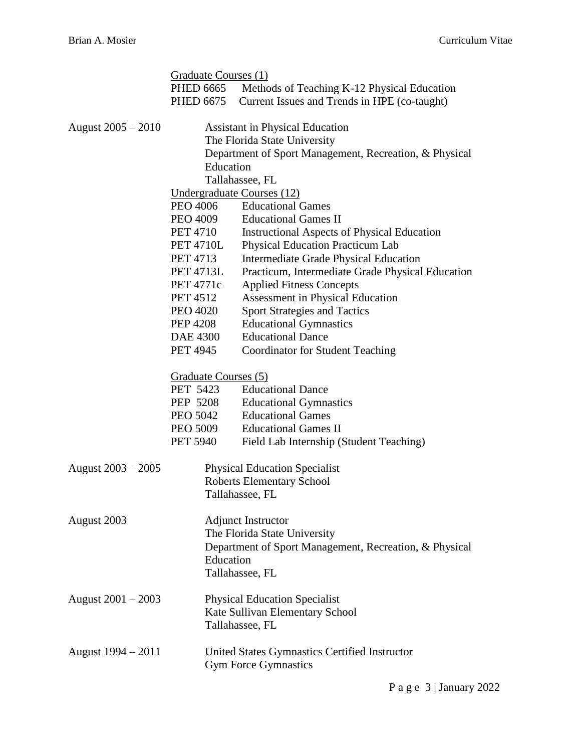|                      | Graduate Courses (1) |                                                        |
|----------------------|----------------------|--------------------------------------------------------|
|                      | <b>PHED 6665</b>     | Methods of Teaching K-12 Physical Education            |
|                      | <b>PHED 6675</b>     | Current Issues and Trends in HPE (co-taught)           |
| August 2005 – 2010   |                      | <b>Assistant in Physical Education</b>                 |
|                      |                      | The Florida State University                           |
|                      |                      | Department of Sport Management, Recreation, & Physical |
|                      | Education            |                                                        |
|                      |                      | Tallahassee, FL                                        |
|                      |                      | Undergraduate Courses (12)                             |
|                      | PEO 4006             | <b>Educational Games</b>                               |
|                      | PEO 4009             | <b>Educational Games II</b>                            |
|                      | <b>PET 4710</b>      | <b>Instructional Aspects of Physical Education</b>     |
|                      | <b>PET 4710L</b>     | <b>Physical Education Practicum Lab</b>                |
|                      | <b>PET 4713</b>      | Intermediate Grade Physical Education                  |
|                      | <b>PET 4713L</b>     | Practicum, Intermediate Grade Physical Education       |
|                      | <b>PET 4771c</b>     | <b>Applied Fitness Concepts</b>                        |
|                      | <b>PET 4512</b>      | Assessment in Physical Education                       |
|                      | <b>PEO 4020</b>      | <b>Sport Strategies and Tactics</b>                    |
|                      | <b>PEP 4208</b>      | <b>Educational Gymnastics</b>                          |
|                      | DAE 4300             | <b>Educational Dance</b>                               |
|                      | <b>PET 4945</b>      | <b>Coordinator for Student Teaching</b>                |
|                      | Graduate Courses (5) |                                                        |
|                      | PET 5423             | <b>Educational Dance</b>                               |
|                      | PEP 5208             | <b>Educational Gymnastics</b>                          |
|                      | PEO 5042             | <b>Educational Games</b>                               |
|                      | PEO 5009             | <b>Educational Games II</b>                            |
|                      | <b>PET 5940</b>      | Field Lab Internship (Student Teaching)                |
| August $2003 - 2005$ |                      | <b>Physical Education Specialist</b>                   |
|                      |                      | Roberts Elementary School                              |
|                      |                      | Tallahassee, FL                                        |
| August 2003          |                      | <b>Adjunct Instructor</b>                              |
|                      |                      | The Florida State University                           |
|                      |                      | Department of Sport Management, Recreation, & Physical |
|                      | Education            |                                                        |
|                      |                      | Tallahassee, FL                                        |
| August $2001 - 2003$ |                      | <b>Physical Education Specialist</b>                   |
|                      |                      | Kate Sullivan Elementary School                        |
|                      |                      | Tallahassee, FL                                        |
| August $1994 - 2011$ |                      | United States Gymnastics Certified Instructor          |
|                      |                      | <b>Gym Force Gymnastics</b>                            |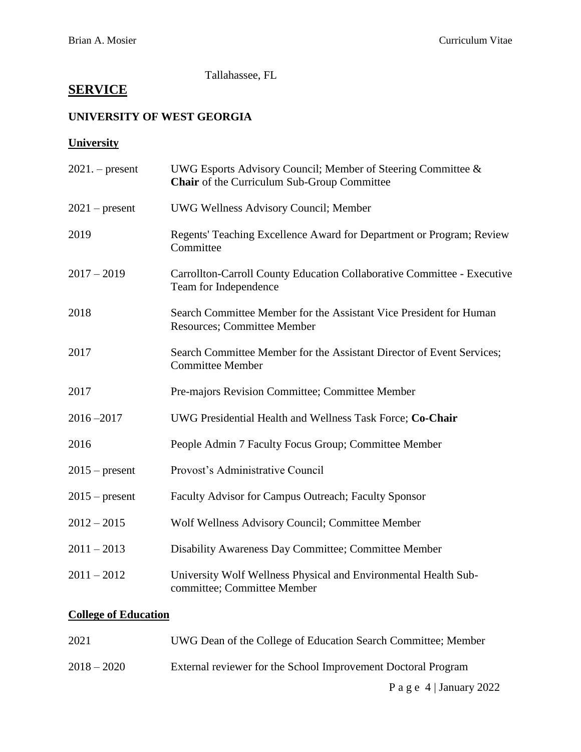Tallahassee, FL

# **SERVICE**

# **UNIVERSITY OF WEST GEORGIA**

# **University**

| $2021.$ - present | UWG Esports Advisory Council; Member of Steering Committee &<br>Chair of the Curriculum Sub-Group Committee |
|-------------------|-------------------------------------------------------------------------------------------------------------|
| $2021$ – present  | <b>UWG Wellness Advisory Council; Member</b>                                                                |
| 2019              | Regents' Teaching Excellence Award for Department or Program; Review<br>Committee                           |
| $2017 - 2019$     | Carrollton-Carroll County Education Collaborative Committee - Executive<br>Team for Independence            |
| 2018              | Search Committee Member for the Assistant Vice President for Human<br><b>Resources</b> ; Committee Member   |
| 2017              | Search Committee Member for the Assistant Director of Event Services;<br><b>Committee Member</b>            |
| 2017              | Pre-majors Revision Committee; Committee Member                                                             |
| $2016 - 2017$     | UWG Presidential Health and Wellness Task Force; Co-Chair                                                   |
| 2016              | People Admin 7 Faculty Focus Group; Committee Member                                                        |
| $2015$ – present  | Provost's Administrative Council                                                                            |
| $2015$ – present  | Faculty Advisor for Campus Outreach; Faculty Sponsor                                                        |
| $2012 - 2015$     | Wolf Wellness Advisory Council; Committee Member                                                            |
| $2011 - 2013$     | Disability Awareness Day Committee; Committee Member                                                        |
| $2011 - 2012$     | University Wolf Wellness Physical and Environmental Health Sub-<br>committee; Committee Member              |

# **College of Education**

| 2021          | UWG Dean of the College of Education Search Committee; Member |
|---------------|---------------------------------------------------------------|
| $2018 - 2020$ | External reviewer for the School Improvement Doctoral Program |
|               | P a g e $4$ January 2022                                      |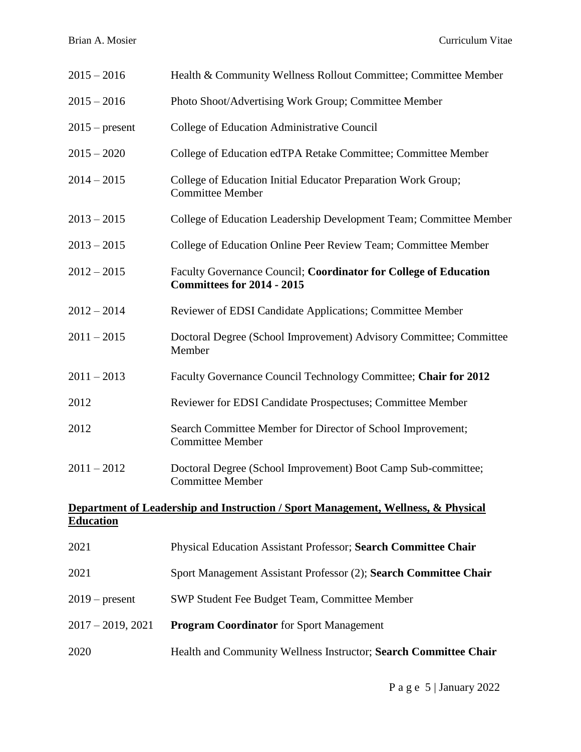| $2015 - 2016$                                                                                         | Health & Community Wellness Rollout Committee; Committee Member                                |  |
|-------------------------------------------------------------------------------------------------------|------------------------------------------------------------------------------------------------|--|
| $2015 - 2016$                                                                                         | Photo Shoot/Advertising Work Group; Committee Member                                           |  |
| $2015$ – present                                                                                      | College of Education Administrative Council                                                    |  |
| $2015 - 2020$                                                                                         | College of Education edTPA Retake Committee; Committee Member                                  |  |
| $2014 - 2015$                                                                                         | College of Education Initial Educator Preparation Work Group;<br><b>Committee Member</b>       |  |
| $2013 - 2015$                                                                                         | College of Education Leadership Development Team; Committee Member                             |  |
| $2013 - 2015$                                                                                         | College of Education Online Peer Review Team; Committee Member                                 |  |
| $2012 - 2015$                                                                                         | Faculty Governance Council; Coordinator for College of Education<br>Committees for 2014 - 2015 |  |
| $2012 - 2014$                                                                                         | Reviewer of EDSI Candidate Applications; Committee Member                                      |  |
| $2011 - 2015$                                                                                         | Doctoral Degree (School Improvement) Advisory Committee; Committee<br>Member                   |  |
| $2011 - 2013$                                                                                         | Faculty Governance Council Technology Committee; Chair for 2012                                |  |
| 2012                                                                                                  | Reviewer for EDSI Candidate Prospectuses; Committee Member                                     |  |
| 2012                                                                                                  | Search Committee Member for Director of School Improvement;<br><b>Committee Member</b>         |  |
| $2011 - 2012$                                                                                         | Doctoral Degree (School Improvement) Boot Camp Sub-committee;<br><b>Committee Member</b>       |  |
| Department of Leadership and Instruction / Sport Management, Wellness, & Physical<br><b>Education</b> |                                                                                                |  |
| 2021                                                                                                  | Physical Education Assistant Professor; Search Committee Chair                                 |  |
| 2021                                                                                                  | Sport Management Assistant Professor (2); Search Committee Chair                               |  |
| $2019$ – present                                                                                      | SWP Student Fee Budget Team, Committee Member                                                  |  |
| $2017 - 2019, 2021$                                                                                   | <b>Program Coordinator</b> for Sport Management                                                |  |
| 2020                                                                                                  | Health and Community Wellness Instructor; Search Committee Chair                               |  |
|                                                                                                       |                                                                                                |  |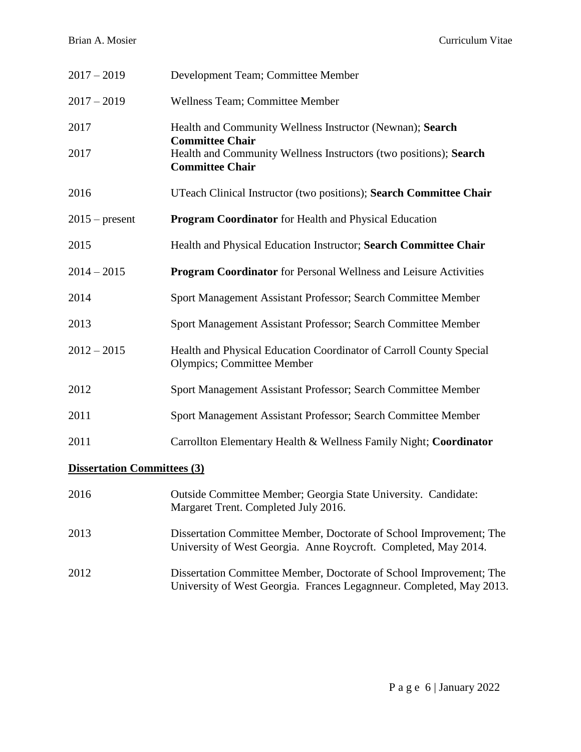Brian A. Mosier Curriculum Vitae

| $2017 - 2019$                      | Development Team; Committee Member                                                                                                          |
|------------------------------------|---------------------------------------------------------------------------------------------------------------------------------------------|
| $2017 - 2019$                      | Wellness Team; Committee Member                                                                                                             |
| 2017                               | Health and Community Wellness Instructor (Newnan); Search<br><b>Committee Chair</b>                                                         |
| 2017                               | Health and Community Wellness Instructors (two positions); Search<br><b>Committee Chair</b>                                                 |
| 2016                               | UTeach Clinical Instructor (two positions); Search Committee Chair                                                                          |
| $2015$ – present                   | <b>Program Coordinator</b> for Health and Physical Education                                                                                |
| 2015                               | Health and Physical Education Instructor; Search Committee Chair                                                                            |
| $2014 - 2015$                      | <b>Program Coordinator</b> for Personal Wellness and Leisure Activities                                                                     |
| 2014                               | Sport Management Assistant Professor; Search Committee Member                                                                               |
| 2013                               | Sport Management Assistant Professor; Search Committee Member                                                                               |
| $2012 - 2015$                      | Health and Physical Education Coordinator of Carroll County Special<br>Olympics; Committee Member                                           |
| 2012                               | Sport Management Assistant Professor; Search Committee Member                                                                               |
| 2011                               | Sport Management Assistant Professor; Search Committee Member                                                                               |
| 2011                               | Carrollton Elementary Health & Wellness Family Night; Coordinator                                                                           |
| <b>Dissertation Committees (3)</b> |                                                                                                                                             |
| 2016                               | Outside Committee Member; Georgia State University. Candidate:<br>Margaret Trent. Completed July 2016.                                      |
| 2013                               | Dissertation Committee Member, Doctorate of School Improvement; The<br>University of West Georgia. Anne Roycroft. Completed, May 2014.      |
| 2012                               | Dissertation Committee Member, Doctorate of School Improvement; The<br>University of West Georgia. Frances Legagnneur. Completed, May 2013. |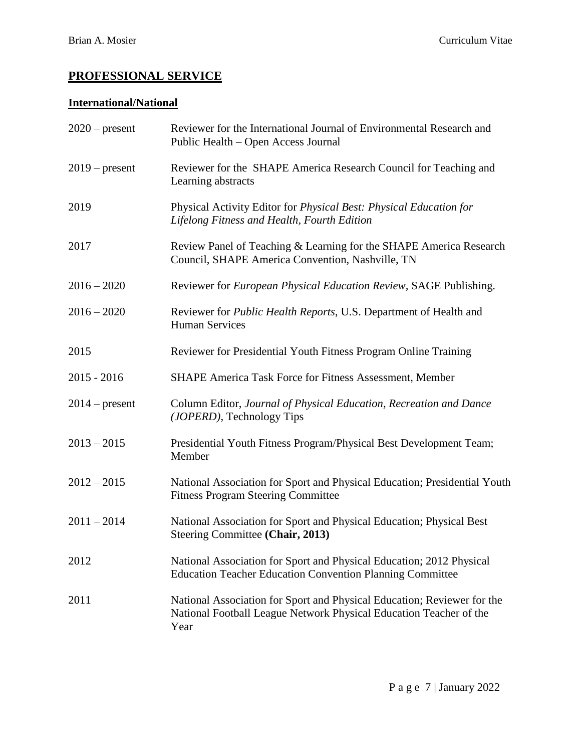# **PROFESSIONAL SERVICE**

# **International/National**

| $2020$ – present | Reviewer for the International Journal of Environmental Research and<br>Public Health – Open Access Journal                                           |
|------------------|-------------------------------------------------------------------------------------------------------------------------------------------------------|
| $2019$ – present | Reviewer for the SHAPE America Research Council for Teaching and<br>Learning abstracts                                                                |
| 2019             | Physical Activity Editor for Physical Best: Physical Education for<br>Lifelong Fitness and Health, Fourth Edition                                     |
| 2017             | Review Panel of Teaching & Learning for the SHAPE America Research<br>Council, SHAPE America Convention, Nashville, TN                                |
| $2016 - 2020$    | Reviewer for <i>European Physical Education Review</i> , SAGE Publishing.                                                                             |
| $2016 - 2020$    | Reviewer for <i>Public Health Reports</i> , U.S. Department of Health and<br><b>Human Services</b>                                                    |
| 2015             | Reviewer for Presidential Youth Fitness Program Online Training                                                                                       |
| $2015 - 2016$    | SHAPE America Task Force for Fitness Assessment, Member                                                                                               |
| $2014$ – present | Column Editor, Journal of Physical Education, Recreation and Dance<br>(JOPERD), Technology Tips                                                       |
| $2013 - 2015$    | Presidential Youth Fitness Program/Physical Best Development Team;<br>Member                                                                          |
| $2012 - 2015$    | National Association for Sport and Physical Education; Presidential Youth<br><b>Fitness Program Steering Committee</b>                                |
| $2011 - 2014$    | National Association for Sport and Physical Education; Physical Best<br>Steering Committee (Chair, 2013)                                              |
| 2012             | National Association for Sport and Physical Education; 2012 Physical<br><b>Education Teacher Education Convention Planning Committee</b>              |
| 2011             | National Association for Sport and Physical Education; Reviewer for the<br>National Football League Network Physical Education Teacher of the<br>Year |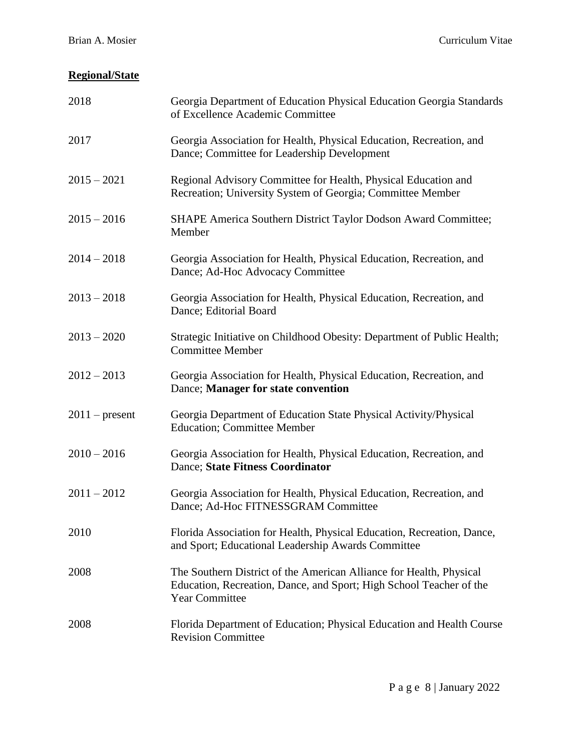# **Regional/State**

| 2018             | Georgia Department of Education Physical Education Georgia Standards<br>of Excellence Academic Committee                                                            |
|------------------|---------------------------------------------------------------------------------------------------------------------------------------------------------------------|
| 2017             | Georgia Association for Health, Physical Education, Recreation, and<br>Dance; Committee for Leadership Development                                                  |
| $2015 - 2021$    | Regional Advisory Committee for Health, Physical Education and<br>Recreation; University System of Georgia; Committee Member                                        |
| $2015 - 2016$    | SHAPE America Southern District Taylor Dodson Award Committee;<br>Member                                                                                            |
| $2014 - 2018$    | Georgia Association for Health, Physical Education, Recreation, and<br>Dance; Ad-Hoc Advocacy Committee                                                             |
| $2013 - 2018$    | Georgia Association for Health, Physical Education, Recreation, and<br>Dance; Editorial Board                                                                       |
| $2013 - 2020$    | Strategic Initiative on Childhood Obesity: Department of Public Health;<br><b>Committee Member</b>                                                                  |
| $2012 - 2013$    | Georgia Association for Health, Physical Education, Recreation, and<br>Dance; Manager for state convention                                                          |
| $2011$ – present | Georgia Department of Education State Physical Activity/Physical<br><b>Education</b> ; Committee Member                                                             |
| $2010 - 2016$    | Georgia Association for Health, Physical Education, Recreation, and<br><b>Dance</b> ; State Fitness Coordinator                                                     |
| $2011 - 2012$    | Georgia Association for Health, Physical Education, Recreation, and<br>Dance; Ad-Hoc FITNESSGRAM Committee                                                          |
| 2010             | Florida Association for Health, Physical Education, Recreation, Dance,<br>and Sport; Educational Leadership Awards Committee                                        |
| 2008             | The Southern District of the American Alliance for Health, Physical<br>Education, Recreation, Dance, and Sport; High School Teacher of the<br><b>Year Committee</b> |
| 2008             | Florida Department of Education; Physical Education and Health Course<br><b>Revision Committee</b>                                                                  |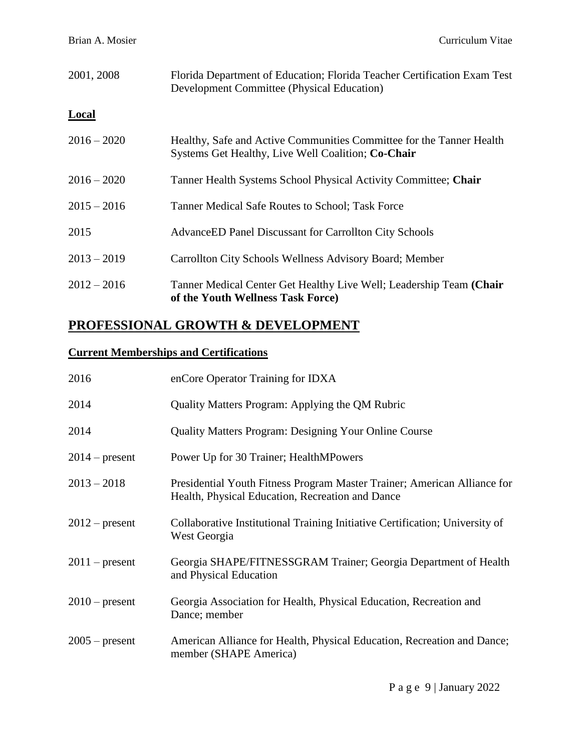| 2001, 2008    | Florida Department of Education; Florida Teacher Certification Exam Test<br><b>Development Committee (Physical Education)</b> |
|---------------|-------------------------------------------------------------------------------------------------------------------------------|
| <b>Local</b>  |                                                                                                                               |
| $2016 - 2020$ | Healthy, Safe and Active Communities Committee for the Tanner Health<br>Systems Get Healthy, Live Well Coalition; Co-Chair    |
| $2016 - 2020$ | Tanner Health Systems School Physical Activity Committee; Chair                                                               |
| $2015 - 2016$ | Tanner Medical Safe Routes to School; Task Force                                                                              |
| 2015          | <b>AdvanceED Panel Discussant for Carrollton City Schools</b>                                                                 |
| $2013 - 2019$ | Carrollton City Schools Wellness Advisory Board; Member                                                                       |
| $2012 - 2016$ | Tanner Medical Center Get Healthy Live Well; Leadership Team (Chair<br>of the Youth Wellness Task Force)                      |

# **PROFESSIONAL GROWTH & DEVELOPMENT**

# **Current Memberships and Certifications**

| 2016             | enCore Operator Training for IDXA                                                                                            |
|------------------|------------------------------------------------------------------------------------------------------------------------------|
| 2014             | Quality Matters Program: Applying the QM Rubric                                                                              |
| 2014             | <b>Quality Matters Program: Designing Your Online Course</b>                                                                 |
| $2014$ – present | Power Up for 30 Trainer; HealthMPowers                                                                                       |
| $2013 - 2018$    | Presidential Youth Fitness Program Master Trainer; American Alliance for<br>Health, Physical Education, Recreation and Dance |
| $2012$ – present | Collaborative Institutional Training Initiative Certification; University of<br>West Georgia                                 |
| $2011$ – present | Georgia SHAPE/FITNESSGRAM Trainer; Georgia Department of Health<br>and Physical Education                                    |
| $2010$ – present | Georgia Association for Health, Physical Education, Recreation and<br>Dance; member                                          |
| $2005$ – present | American Alliance for Health, Physical Education, Recreation and Dance;<br>member (SHAPE America)                            |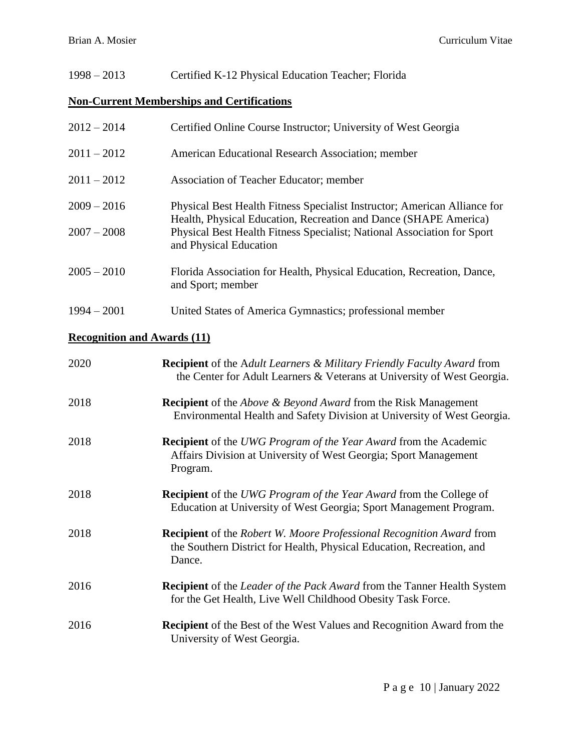| $1998 - 2013$                      | Certified K-12 Physical Education Teacher; Florida                                                                                                                                                                                                 |  |
|------------------------------------|----------------------------------------------------------------------------------------------------------------------------------------------------------------------------------------------------------------------------------------------------|--|
|                                    | <b>Non-Current Memberships and Certifications</b>                                                                                                                                                                                                  |  |
| $2012 - 2014$                      | Certified Online Course Instructor; University of West Georgia                                                                                                                                                                                     |  |
| $2011 - 2012$                      | American Educational Research Association; member                                                                                                                                                                                                  |  |
| $2011 - 2012$                      | Association of Teacher Educator; member                                                                                                                                                                                                            |  |
| $2009 - 2016$<br>$2007 - 2008$     | Physical Best Health Fitness Specialist Instructor; American Alliance for<br>Health, Physical Education, Recreation and Dance (SHAPE America)<br>Physical Best Health Fitness Specialist; National Association for Sport<br>and Physical Education |  |
| $2005 - 2010$                      | Florida Association for Health, Physical Education, Recreation, Dance,<br>and Sport; member                                                                                                                                                        |  |
| $1994 - 2001$                      | United States of America Gymnastics; professional member                                                                                                                                                                                           |  |
| <b>Recognition and Awards (11)</b> |                                                                                                                                                                                                                                                    |  |
| 2020                               | <b>Recipient</b> of the Adult Learners & Military Friendly Faculty Award from<br>the Center for Adult Learners & Veterans at University of West Georgia.                                                                                           |  |
| 2018                               | <b>Recipient</b> of the <i>Above &amp; Beyond Award</i> from the Risk Management<br>Environmental Health and Safety Division at University of West Georgia.                                                                                        |  |
| 2018                               | <b>Recipient</b> of the UWG Program of the Year Award from the Academic<br>Affairs Division at University of West Georgia; Sport Management<br>Program.                                                                                            |  |
| 2018                               | Recipient of the UWG Program of the Year Award from the College of<br>Education at University of West Georgia; Sport Management Program.                                                                                                           |  |
| 2018                               | <b>Recipient</b> of the Robert W. Moore Professional Recognition Award from<br>the Southern District for Health, Physical Education, Recreation, and<br>Dance.                                                                                     |  |
| 2016                               | <b>Recipient</b> of the <i>Leader of the Pack Award</i> from the Tanner Health System<br>for the Get Health, Live Well Childhood Obesity Task Force.                                                                                               |  |
| 2016                               | <b>Recipient</b> of the Best of the West Values and Recognition Award from the<br>University of West Georgia.                                                                                                                                      |  |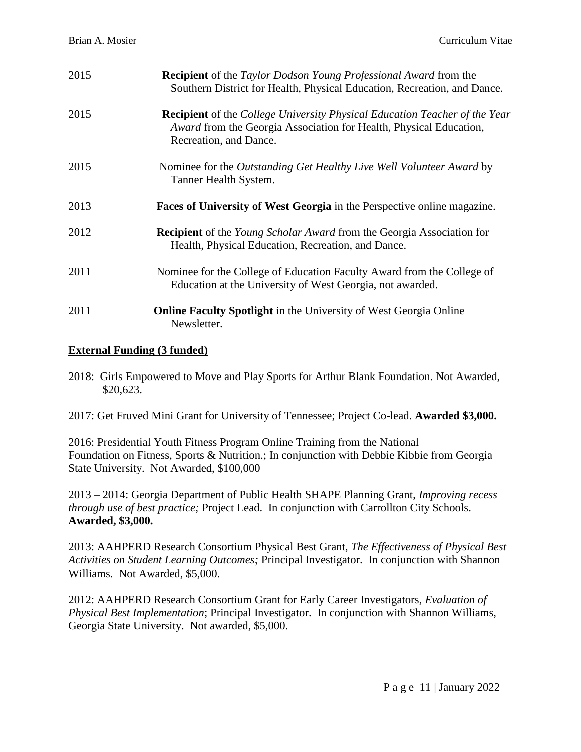| 2015 | <b>Recipient</b> of the <i>Taylor Dodson Young Professional Award</i> from the<br>Southern District for Health, Physical Education, Recreation, and Dance.                               |
|------|------------------------------------------------------------------------------------------------------------------------------------------------------------------------------------------|
| 2015 | <b>Recipient</b> of the College University Physical Education Teacher of the Year<br><i>Award</i> from the Georgia Association for Health, Physical Education,<br>Recreation, and Dance. |
| 2015 | Nominee for the <i>Outstanding Get Healthy Live Well Volunteer Award</i> by<br>Tanner Health System.                                                                                     |
| 2013 | <b>Faces of University of West Georgia</b> in the Perspective online magazine.                                                                                                           |
| 2012 | <b>Recipient</b> of the <i>Young Scholar Award</i> from the Georgia Association for<br>Health, Physical Education, Recreation, and Dance.                                                |
| 2011 | Nominee for the College of Education Faculty Award from the College of<br>Education at the University of West Georgia, not awarded.                                                      |
| 2011 | <b>Online Faculty Spotlight</b> in the University of West Georgia Online<br>Newsletter.                                                                                                  |

# **External Funding (3 funded)**

- 2018: Girls Empowered to Move and Play Sports for Arthur Blank Foundation. Not Awarded, \$20,623.
- 2017: Get Fruved Mini Grant for University of Tennessee; Project Co-lead. **Awarded \$3,000.**

2016: Presidential Youth Fitness Program Online Training from the National Foundation on Fitness, Sports & Nutrition.; In conjunction with Debbie Kibbie from Georgia State University. Not Awarded, \$100,000

2013 – 2014: Georgia Department of Public Health SHAPE Planning Grant, *Improving recess through use of best practice;* Project Lead. In conjunction with Carrollton City Schools. **Awarded, \$3,000.**

2013: AAHPERD Research Consortium Physical Best Grant, *The Effectiveness of Physical Best Activities on Student Learning Outcomes;* Principal Investigator. In conjunction with Shannon Williams. Not Awarded, \$5,000.

2012: AAHPERD Research Consortium Grant for Early Career Investigators, *Evaluation of Physical Best Implementation*; Principal Investigator. In conjunction with Shannon Williams, Georgia State University. Not awarded, \$5,000.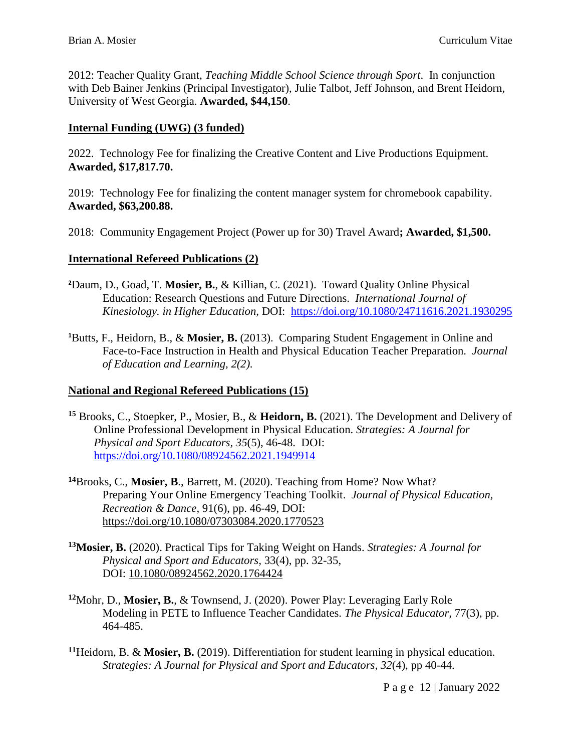2012: Teacher Quality Grant, *Teaching Middle School Science through Sport*. In conjunction with Deb Bainer Jenkins (Principal Investigator), Julie Talbot, Jeff Johnson, and Brent Heidorn, University of West Georgia. **Awarded, \$44,150**.

# **Internal Funding (UWG) (3 funded)**

2022. Technology Fee for finalizing the Creative Content and Live Productions Equipment. **Awarded, \$17,817.70.**

2019: Technology Fee for finalizing the content manager system for chromebook capability. **Awarded, \$63,200.88.**

2018: Community Engagement Project (Power up for 30) Travel Award**; Awarded, \$1,500.**

#### **International Refereed Publications (2)**

- **<sup>2</sup>**Daum, D., Goad, T. **Mosier, B.**, & Killian, C. (2021). Toward Quality Online Physical Education: Research Questions and Future Directions. *International Journal of Kinesiology. in Higher Education,* DOI: <https://doi.org/10.1080/24711616.2021.1930295>
- **<sup>1</sup>**Butts, F., Heidorn, B., & **Mosier, B.** (2013). Comparing Student Engagement in Online and Face-to-Face Instruction in Health and Physical Education Teacher Preparation. *Journal of Education and Learning, 2(2).*

#### **National and Regional Refereed Publications (15)**

- **<sup>15</sup>** Brooks, C., Stoepker, P., Mosier, B., & **Heidorn, B.** (2021). The Development and Delivery of Online Professional Development in Physical Education. *Strategies: A Journal for Physical and Sport Educators, 35*(5), 46-48. DOI: <https://doi.org/10.1080/08924562.2021.1949914>
- **<sup>14</sup>**Brooks, C., **Mosier, B**., Barrett, M. (2020). Teaching from Home? Now What? Preparing Your Online Emergency Teaching Toolkit. *Journal of Physical Education, Recreation & Dance*, 91(6), pp. 46-49, DOI: <https://doi.org/10.1080/07303084.2020.1770523>
- **<sup>13</sup>Mosier, B.** (2020). Practical Tips for Taking Weight on Hands. *Strategies: A Journal for Physical and Sport and Educators,* 33(4), pp. 32-35, DOI: [10.1080/08924562.2020.1764424](https://doi.org/10.1080/08924562.2020.1764424)
- **<sup>12</sup>**Mohr, D., **Mosier, B.**, & Townsend, J. (2020). Power Play: Leveraging Early Role Modeling in PETE to Influence Teacher Candidates. *The Physical Educator,* 77(3), pp. 464-485.
- **<sup>11</sup>**Heidorn, B. & **Mosier, B.** (2019). Differentiation for student learning in physical education. *Strategies: A Journal for Physical and Sport and Educators*, *32*(4), pp 40-44.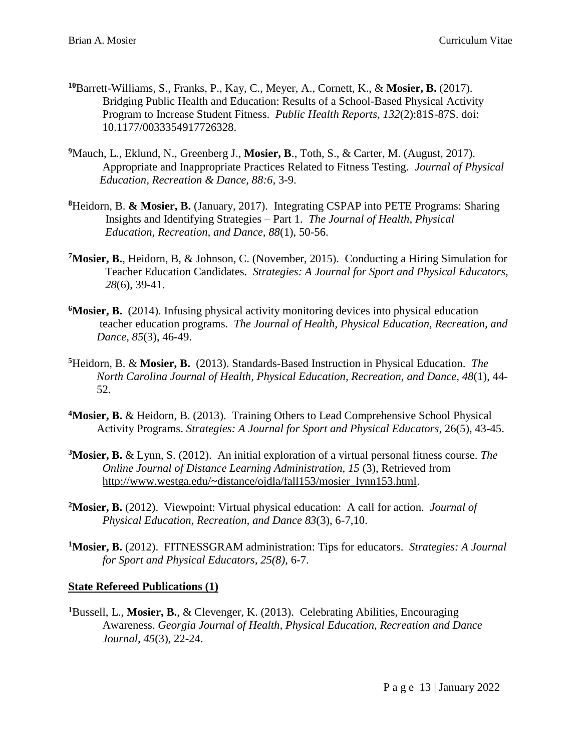- **<sup>10</sup>**Barrett-Williams, S., Franks, P., Kay, C., Meyer, A., Cornett, K., & **Mosier, B.** (2017). Bridging Public Health and Education: Results of a School-Based Physical Activity Program to Increase Student Fitness. *Public Health Reports, 132*(2):81S-87S. doi: 10.1177/0033354917726328.
- <sup>9</sup>Mauch, L., Eklund, N., Greenberg J., Mosier, B., Toth, S., & Carter, M. (August, 2017). Appropriate and Inappropriate Practices Related to Fitness Testing. *Journal of Physical Education, Recreation & Dance, 88:6,* 3-9.
- **<sup>8</sup>**Heidorn, B. **& Mosier, B.** (January, 2017). Integrating CSPAP into PETE Programs: Sharing Insights and Identifying Strategies – Part 1. *The Journal of Health, Physical Education, Recreation, and Dance, 88*(1), 50-56.
- **<sup>7</sup>Mosier, B.**, Heidorn, B, & Johnson, C. (November, 2015). Conducting a Hiring Simulation for Teacher Education Candidates. *Strategies: A Journal for Sport and Physical Educators, 28*(6), 39-41.
- **<sup>6</sup>Mosier, B.** (2014). Infusing physical activity monitoring devices into physical education teacher education programs. *The Journal of Health, Physical Education, Recreation, and Dance, 85*(3), 46-49.
- **<sup>5</sup>**Heidorn, B. & **Mosier, B.** (2013). Standards-Based Instruction in Physical Education. *The North Carolina Journal of Health, Physical Education, Recreation, and Dance, 48*(1), 44- 52.
- **<sup>4</sup>Mosier, B.** & Heidorn, B. (2013). Training Others to Lead Comprehensive School Physical Activity Programs. *Strategies: A Journal for Sport and Physical Educators*, 26(5), 43-45.
- **<sup>3</sup>Mosier, B.** & Lynn, S. (2012). An initial exploration of a virtual personal fitness course. *The Online Journal of Distance Learning Administration, 15* (3), Retrieved from [http://www.westga.edu/~distance/ojdla/fall153/mosier\\_lynn153.html.](http://www.westga.edu/~distance/ojdla/fall153/mosier_lynn153.html)
- **<sup>2</sup>Mosier, B.** (2012). Viewpoint: Virtual physical education: A call for action. *Journal of Physical Education, Recreation, and Dance 83*(3), 6-7,10.
- **<sup>1</sup>Mosier, B.** (2012). FITNESSGRAM administration: Tips for educators. *Strategies: A Journal for Sport and Physical Educators, 25(8),* 6-7.

#### **State Refereed Publications (1)**

**<sup>1</sup>**Bussell, L., **Mosier, B.**, & Clevenger, K. (2013). Celebrating Abilities, Encouraging Awareness. *Georgia Journal of Health, Physical Education, Recreation and Dance Journal, 45*(3), 22-24.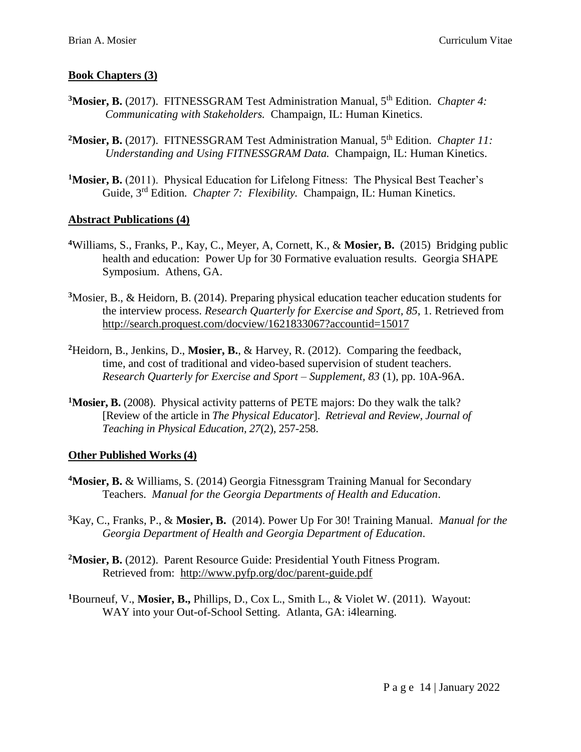#### **Book Chapters (3)**

- **<sup>3</sup>Mosier, B.** (2017). FITNESSGRAM Test Administration Manual, 5th Edition. *Chapter 4: Communicating with Stakeholders.* Champaign, IL: Human Kinetics.
- <sup>2</sup>Mosier, B. (2017). FITNESSGRAM Test Administration Manual, 5<sup>th</sup> Edition. *Chapter 11: Understanding and Using FITNESSGRAM Data.* Champaign, IL: Human Kinetics.
- <sup>1</sup>Mosier, B. (2011). Physical Education for Lifelong Fitness: The Physical Best Teacher's Guide, 3rd Edition. *Chapter 7: Flexibility.* Champaign, IL: Human Kinetics.

#### **Abstract Publications (4)**

- **<sup>4</sup>**Williams, S., Franks, P., Kay, C., Meyer, A, Cornett, K., & **Mosier, B.** (2015) Bridging public health and education: Power Up for 30 Formative evaluation results. Georgia SHAPE Symposium. Athens, GA.
- **<sup>3</sup>**Mosier, B., & Heidorn, B. (2014). Preparing physical education teacher education students for the interview process. *Research Quarterly for Exercise and Sport, 85*, 1. Retrieved from <http://search.proquest.com/docview/1621833067?accountid=15017>
- **<sup>2</sup>**Heidorn, B., Jenkins, D., **Mosier, B.**, & Harvey, R. (2012). Comparing the feedback, time, and cost of traditional and video-based supervision of student teachers. *Research Quarterly for Exercise and Sport – Supplement, 83* (1), pp. 10A-96A.
- <sup>1</sup>Mosier, **B.** (2008). Physical activity patterns of PETE majors: Do they walk the talk? [Review of the article in *The Physical Educator*]. *Retrieval and Review, Journal of Teaching in Physical Education, 27*(2), 257-258.

#### **Other Published Works (4)**

- **<sup>4</sup>Mosier, B.** & Williams, S. (2014) Georgia Fitnessgram Training Manual for Secondary Teachers. *Manual for the Georgia Departments of Health and Education*.
- **<sup>3</sup>**Kay, C., Franks, P., & **Mosier, B.** (2014). Power Up For 30! Training Manual. *Manual for the Georgia Department of Health and Georgia Department of Education*.
- <sup>2</sup>Mosier, B. (2012). Parent Resource Guide: Presidential Youth Fitness Program. Retrieved from: <http://www.pyfp.org/doc/parent-guide.pdf>
- **<sup>1</sup>**Bourneuf, V., **Mosier, B.,** Phillips, D., Cox L., Smith L., & Violet W. (2011). Wayout: WAY into your Out-of-School Setting. Atlanta, GA: i4learning.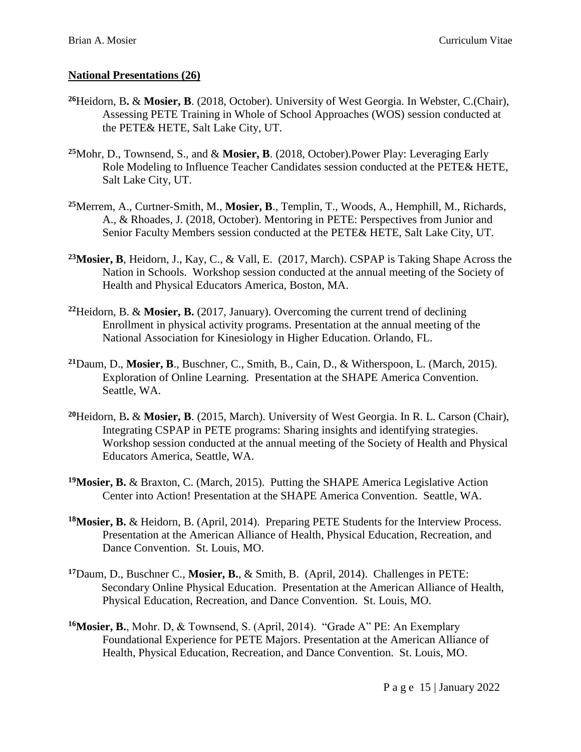# **National Presentations (26)**

- **<sup>26</sup>**Heidorn, B**.** & **Mosier, B**. (2018, October). University of West Georgia. In Webster, C.(Chair), Assessing PETE Training in Whole of School Approaches (WOS) session conducted at the PETE& HETE, Salt Lake City, UT.
- **<sup>25</sup>**Mohr, D., Townsend, S., and & **Mosier, B**. (2018, October).Power Play: Leveraging Early Role Modeling to Influence Teacher Candidates session conducted at the PETE& HETE, Salt Lake City, UT.
- **<sup>25</sup>**Merrem, A., Curtner-Smith, M., **Mosier, B**., Templin, T., Woods, A., Hemphill, M., Richards, A., & Rhoades, J. (2018, October). Mentoring in PETE: Perspectives from Junior and Senior Faculty Members session conducted at the PETE& HETE, Salt Lake City, UT.
- **<sup>23</sup>Mosier, B**, Heidorn, J., Kay, C., & Vall, E. (2017, March). CSPAP is Taking Shape Across the Nation in Schools. Workshop session conducted at the annual meeting of the Society of Health and Physical Educators America, Boston, MA.
- **<sup>22</sup>**Heidorn, B. & **Mosier, B.** (2017, January). Overcoming the current trend of declining Enrollment in physical activity programs. Presentation at the annual meeting of the National Association for Kinesiology in Higher Education. Orlando, FL.
- **<sup>21</sup>**Daum, D., **Mosier, B**., Buschner, C., Smith, B., Cain, D., & Witherspoon, L. (March, 2015). Exploration of Online Learning. Presentation at the SHAPE America Convention. Seattle, WA.
- **<sup>20</sup>**Heidorn, B**.** & **Mosier, B**. (2015, March). University of West Georgia. In R. L. Carson (Chair), Integrating CSPAP in PETE programs: Sharing insights and identifying strategies. Workshop session conducted at the annual meeting of the Society of Health and Physical Educators America, Seattle, WA.
- **<sup>19</sup>Mosier, B.** & Braxton, C. (March, 2015). Putting the SHAPE America Legislative Action Center into Action! Presentation at the SHAPE America Convention. Seattle, WA.
- **<sup>18</sup>Mosier, B.** & Heidorn, B. (April, 2014). Preparing PETE Students for the Interview Process. Presentation at the American Alliance of Health, Physical Education, Recreation, and Dance Convention. St. Louis, MO.
- **<sup>17</sup>**Daum, D., Buschner C., **Mosier, B.**, & Smith, B. (April, 2014). Challenges in PETE: Secondary Online Physical Education. Presentation at the American Alliance of Health, Physical Education, Recreation, and Dance Convention. St. Louis, MO.
- **<sup>16</sup>Mosier, B.**, Mohr. D, & Townsend, S. (April, 2014). "Grade A" PE: An Exemplary Foundational Experience for PETE Majors. Presentation at the American Alliance of Health, Physical Education, Recreation, and Dance Convention. St. Louis, MO.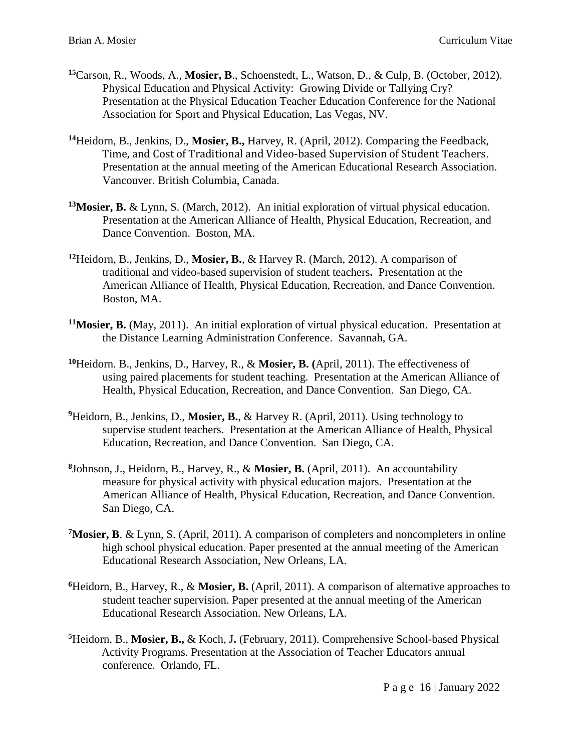- **<sup>15</sup>**Carson, R., Woods, A., **Mosier, B**., Schoenstedt, L., Watson, D., & Culp, B. (October, 2012). Physical Education and Physical Activity: Growing Divide or Tallying Cry? Presentation at the Physical Education Teacher Education Conference for the National Association for Sport and Physical Education, Las Vegas, NV.
- **<sup>14</sup>**Heidorn, B., Jenkins, D., **Mosier, B.,** Harvey, R. (April, 2012). Comparing the Feedback, Time, and Cost of Traditional and Video-based Supervision of Student Teachers. Presentation at the annual meeting of the American Educational Research Association. Vancouver. British Columbia, Canada.
- **<sup>13</sup>Mosier, B.** & Lynn, S. (March, 2012). An initial exploration of virtual physical education. Presentation at the American Alliance of Health, Physical Education, Recreation, and Dance Convention. Boston, MA.
- **<sup>12</sup>**Heidorn, B., Jenkins, D., **Mosier, B.**, & Harvey R. (March, 2012). A comparison of traditional and video-based supervision of student teachers**.** Presentation at the American Alliance of Health, Physical Education, Recreation, and Dance Convention. Boston, MA.
- **<sup>11</sup>Mosier, B.** (May, 2011). An initial exploration of virtual physical education. Presentation at the Distance Learning Administration Conference. Savannah, GA.
- **<sup>10</sup>**Heidorn. B., Jenkins, D., Harvey, R., & **Mosier, B. (**April, 2011). The effectiveness of using paired placements for student teaching. Presentation at the American Alliance of Health, Physical Education, Recreation, and Dance Convention. San Diego, CA.
- <sup>9</sup>Heidorn, B., Jenkins, D., Mosier, B., & Harvey R. (April, 2011). Using technology to supervise student teachers. Presentation at the American Alliance of Health, Physical Education, Recreation, and Dance Convention. San Diego, CA.
- **8** Johnson, J., Heidorn, B., Harvey, R., & **Mosier, B.** (April, 2011).An accountability measure for physical activity with physical education majors. Presentation at the American Alliance of Health, Physical Education, Recreation, and Dance Convention. San Diego, CA.
- **<sup>7</sup>Mosier, B**. & Lynn, S. (April, 2011). A comparison of completers and noncompleters in online high school physical education. Paper presented at the annual meeting of the American Educational Research Association, New Orleans, LA.
- **<sup>6</sup>**Heidorn, B., Harvey, R., & **Mosier, B.** (April, 2011). A comparison of alternative approaches to student teacher supervision. Paper presented at the annual meeting of the American Educational Research Association. New Orleans, LA.
- **<sup>5</sup>**Heidorn, B., **Mosier, B.,** & Koch, J**.** (February, 2011). Comprehensive School-based Physical Activity Programs. Presentation at the Association of Teacher Educators annual conference. Orlando, FL.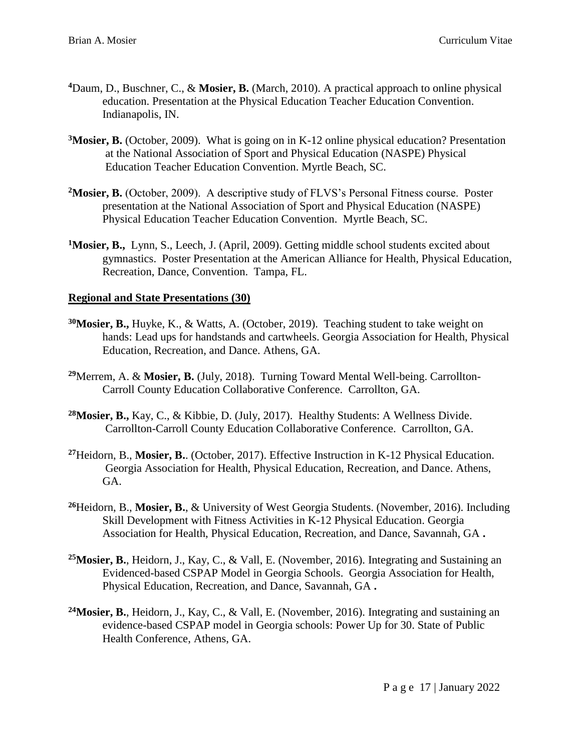- **<sup>4</sup>**Daum, D., Buschner, C., & **Mosier, B.** (March, 2010). A practical approach to online physical education. Presentation at the Physical Education Teacher Education Convention. Indianapolis, IN.
- **<sup>3</sup>Mosier, B.** (October, 2009). What is going on in K-12 online physical education? Presentation at the National Association of Sport and Physical Education (NASPE) Physical Education Teacher Education Convention. Myrtle Beach, SC.
- **<sup>2</sup>Mosier, B.** (October, 2009). A descriptive study of FLVS's Personal Fitness course. Poster presentation at the National Association of Sport and Physical Education (NASPE) Physical Education Teacher Education Convention. Myrtle Beach, SC.
- <sup>1</sup>Mosier, B., Lynn, S., Leech, J. (April, 2009). Getting middle school students excited about gymnastics. Poster Presentation at the American Alliance for Health, Physical Education, Recreation, Dance, Convention. Tampa, FL.

# **Regional and State Presentations (30)**

- **<sup>30</sup>Mosier, B.,** Huyke, K., & Watts, A. (October, 2019). Teaching student to take weight on hands: Lead ups for handstands and cartwheels. Georgia Association for Health, Physical Education, Recreation, and Dance. Athens, GA.
- **<sup>29</sup>**Merrem, A. & **Mosier, B.** (July, 2018). Turning Toward Mental Well-being. Carrollton-Carroll County Education Collaborative Conference. Carrollton, GA.
- **<sup>28</sup>Mosier, B.,** Kay, C., & Kibbie, D. (July, 2017). Healthy Students: A Wellness Divide. Carrollton-Carroll County Education Collaborative Conference. Carrollton, GA.
- **<sup>27</sup>**Heidorn, B., **Mosier, B.**. (October, 2017). Effective Instruction in K-12 Physical Education. Georgia Association for Health, Physical Education, Recreation, and Dance. Athens, GA.
- **<sup>26</sup>**Heidorn, B., **Mosier, B.**, & University of West Georgia Students. (November, 2016). Including Skill Development with Fitness Activities in K-12 Physical Education. Georgia Association for Health, Physical Education, Recreation, and Dance, Savannah, GA **.**
- **<sup>25</sup>Mosier, B.**, Heidorn, J., Kay, C., & Vall, E. (November, 2016). Integrating and Sustaining an Evidenced-based CSPAP Model in Georgia Schools. Georgia Association for Health, Physical Education, Recreation, and Dance, Savannah, GA **.**
- **<sup>24</sup>Mosier, B.**, Heidorn, J., Kay, C., & Vall, E. (November, 2016). Integrating and sustaining an evidence-based CSPAP model in Georgia schools: Power Up for 30. State of Public Health Conference, Athens, GA.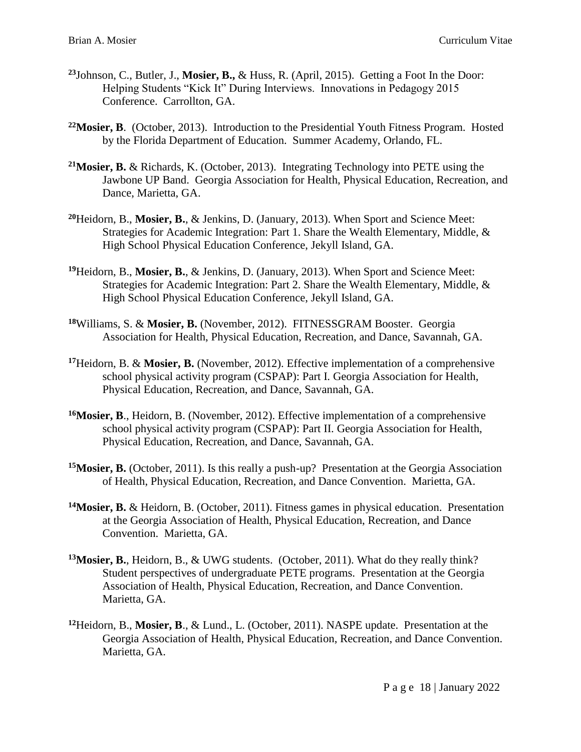- **<sup>23</sup>**Johnson, C., Butler, J., **Mosier, B.,** & Huss, R. (April, 2015). Getting a Foot In the Door: Helping Students "Kick It" During Interviews. Innovations in Pedagogy 2015 Conference. Carrollton, GA.
- **<sup>22</sup>Mosier, B**. (October, 2013). Introduction to the Presidential Youth Fitness Program. Hosted by the Florida Department of Education. Summer Academy, Orlando, FL.
- **<sup>21</sup>Mosier, B.** & Richards, K. (October, 2013). Integrating Technology into PETE using the Jawbone UP Band. Georgia Association for Health, Physical Education, Recreation, and Dance, Marietta, GA.
- **<sup>20</sup>**Heidorn, B., **Mosier, B.**, & Jenkins, D. (January, 2013). When Sport and Science Meet: Strategies for Academic Integration: Part 1. Share the Wealth Elementary, Middle, & High School Physical Education Conference, Jekyll Island, GA.
- **<sup>19</sup>**Heidorn, B., **Mosier, B.**, & Jenkins, D. (January, 2013). When Sport and Science Meet: Strategies for Academic Integration: Part 2. Share the Wealth Elementary, Middle, & High School Physical Education Conference, Jekyll Island, GA.
- **<sup>18</sup>**Williams, S. & **Mosier, B.** (November, 2012). FITNESSGRAM Booster. Georgia Association for Health, Physical Education, Recreation, and Dance, Savannah, GA.
- **<sup>17</sup>**Heidorn, B. & **Mosier, B.** (November, 2012). Effective implementation of a comprehensive school physical activity program (CSPAP): Part I. Georgia Association for Health, Physical Education, Recreation, and Dance, Savannah, GA.
- **<sup>16</sup>Mosier, B**., Heidorn, B. (November, 2012). Effective implementation of a comprehensive school physical activity program (CSPAP): Part II. Georgia Association for Health, Physical Education, Recreation, and Dance, Savannah, GA.
- **<sup>15</sup>Mosier, B.** (October, 2011). Is this really a push-up? Presentation at the Georgia Association of Health, Physical Education, Recreation, and Dance Convention. Marietta, GA.
- **<sup>14</sup>Mosier, B.** & Heidorn, B. (October, 2011). Fitness games in physical education. Presentation at the Georgia Association of Health, Physical Education, Recreation, and Dance Convention. Marietta, GA.
- **<sup>13</sup>Mosier, B.**, Heidorn, B., & UWG students. (October, 2011). What do they really think? Student perspectives of undergraduate PETE programs. Presentation at the Georgia Association of Health, Physical Education, Recreation, and Dance Convention. Marietta, GA.
- **<sup>12</sup>**Heidorn, B., **Mosier, B**., & Lund., L. (October, 2011). NASPE update. Presentation at the Georgia Association of Health, Physical Education, Recreation, and Dance Convention. Marietta, GA.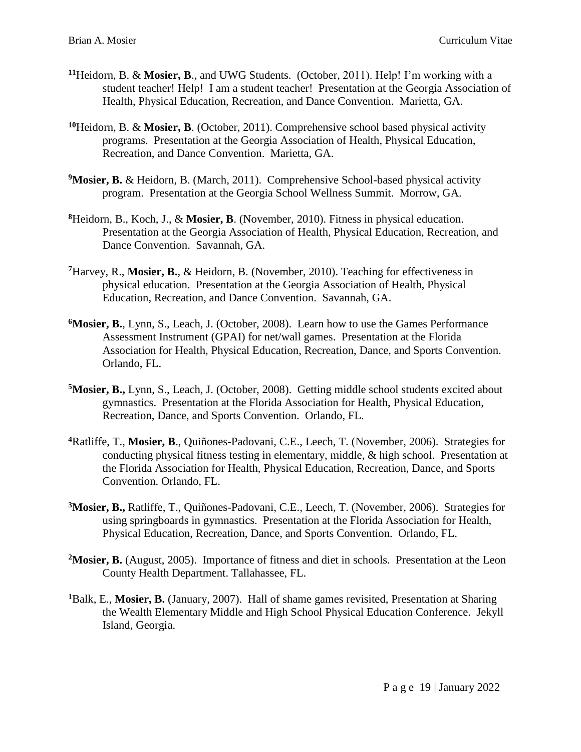- **<sup>11</sup>**Heidorn, B. & **Mosier, B**., and UWG Students. (October, 2011). Help! I'm working with a student teacher! Help! I am a student teacher! Presentation at the Georgia Association of Health, Physical Education, Recreation, and Dance Convention. Marietta, GA.
- **<sup>10</sup>**Heidorn, B. & **Mosier, B**. (October, 2011). Comprehensive school based physical activity programs. Presentation at the Georgia Association of Health, Physical Education, Recreation, and Dance Convention. Marietta, GA.
- <sup>9</sup>Mosier, B. & Heidorn, B. (March, 2011). Comprehensive School-based physical activity program. Presentation at the Georgia School Wellness Summit. Morrow, GA.
- **<sup>8</sup>**Heidorn, B., Koch, J., & **Mosier, B**. (November, 2010). Fitness in physical education. Presentation at the Georgia Association of Health, Physical Education, Recreation, and Dance Convention. Savannah, GA.
- **<sup>7</sup>**Harvey, R., **Mosier, B.**, & Heidorn, B. (November, 2010). Teaching for effectiveness in physical education. Presentation at the Georgia Association of Health, Physical Education, Recreation, and Dance Convention. Savannah, GA.
- **<sup>6</sup>Mosier, B.**, Lynn, S., Leach, J. (October, 2008). Learn how to use the Games Performance Assessment Instrument (GPAI) for net/wall games. Presentation at the Florida Association for Health, Physical Education, Recreation, Dance, and Sports Convention. Orlando, FL.
- **<sup>5</sup>Mosier, B.,** Lynn, S., Leach, J. (October, 2008). Getting middle school students excited about gymnastics. Presentation at the Florida Association for Health, Physical Education, Recreation, Dance, and Sports Convention. Orlando, FL.
- **<sup>4</sup>**Ratliffe, T., **Mosier, B**., Quiñones-Padovani, C.E., Leech, T. (November, 2006). Strategies for conducting physical fitness testing in elementary, middle, & high school. Presentation at the Florida Association for Health, Physical Education, Recreation, Dance, and Sports Convention. Orlando, FL.
- **<sup>3</sup>Mosier, B.,** Ratliffe, T., Quiñones-Padovani, C.E., Leech, T. (November, 2006). Strategies for using springboards in gymnastics. Presentation at the Florida Association for Health, Physical Education, Recreation, Dance, and Sports Convention. Orlando, FL.
- **<sup>2</sup>Mosier, B.** (August, 2005). Importance of fitness and diet in schools. Presentation at the Leon County Health Department. Tallahassee, FL.
- **<sup>1</sup>**Balk, E., **Mosier, B.** (January, 2007). Hall of shame games revisited, Presentation at Sharing the Wealth Elementary Middle and High School Physical Education Conference. Jekyll Island, Georgia.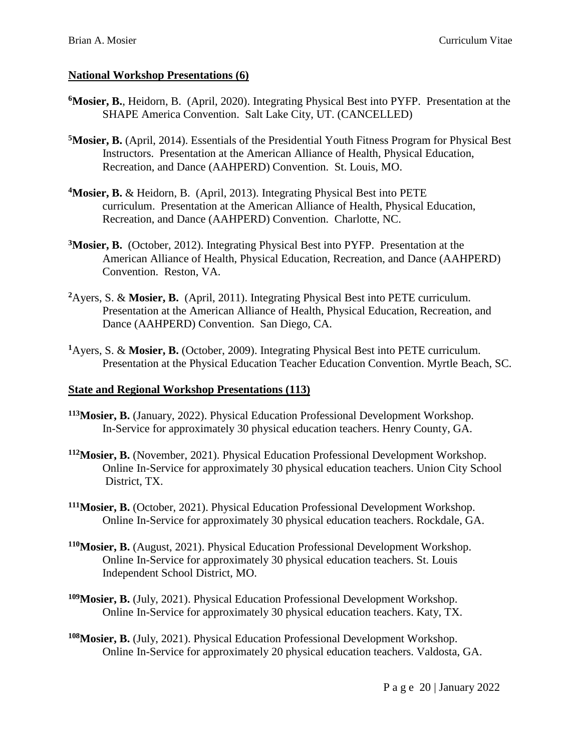# **National Workshop Presentations (6)**

- **<sup>6</sup>Mosier, B.**, Heidorn, B. (April, 2020). Integrating Physical Best into PYFP. Presentation at the SHAPE America Convention. Salt Lake City, UT. (CANCELLED)
- **<sup>5</sup>Mosier, B.** (April, 2014). Essentials of the Presidential Youth Fitness Program for Physical Best Instructors. Presentation at the American Alliance of Health, Physical Education, Recreation, and Dance (AAHPERD) Convention. St. Louis, MO.
- **<sup>4</sup>Mosier, B.** & Heidorn, B. (April, 2013). Integrating Physical Best into PETE curriculum. Presentation at the American Alliance of Health, Physical Education, Recreation, and Dance (AAHPERD) Convention. Charlotte, NC.
- **<sup>3</sup>Mosier, B.** (October, 2012). Integrating Physical Best into PYFP. Presentation at the American Alliance of Health, Physical Education, Recreation, and Dance (AAHPERD) Convention. Reston, VA.
- **<sup>2</sup>**Ayers, S. & **Mosier, B.** (April, 2011). Integrating Physical Best into PETE curriculum. Presentation at the American Alliance of Health, Physical Education, Recreation, and Dance (AAHPERD) Convention. San Diego, CA.
- **<sup>1</sup>**Ayers, S. & **Mosier, B.** (October, 2009). Integrating Physical Best into PETE curriculum. Presentation at the Physical Education Teacher Education Convention. Myrtle Beach, SC.

# **State and Regional Workshop Presentations (113)**

- **<sup>113</sup>Mosier, B.** (January, 2022). Physical Education Professional Development Workshop. In-Service for approximately 30 physical education teachers. Henry County, GA.
- **<sup>112</sup>Mosier, B.** (November, 2021). Physical Education Professional Development Workshop. Online In-Service for approximately 30 physical education teachers. Union City School District, TX.
- **<sup>111</sup>Mosier, B.** (October, 2021). Physical Education Professional Development Workshop. Online In-Service for approximately 30 physical education teachers. Rockdale, GA.
- **<sup>110</sup>Mosier, B.** (August, 2021). Physical Education Professional Development Workshop. Online In-Service for approximately 30 physical education teachers. St. Louis Independent School District, MO.
- **<sup>109</sup>Mosier, B.** (July, 2021). Physical Education Professional Development Workshop. Online In-Service for approximately 30 physical education teachers. Katy, TX.
- **<sup>108</sup>Mosier, B.** (July, 2021). Physical Education Professional Development Workshop. Online In-Service for approximately 20 physical education teachers. Valdosta, GA.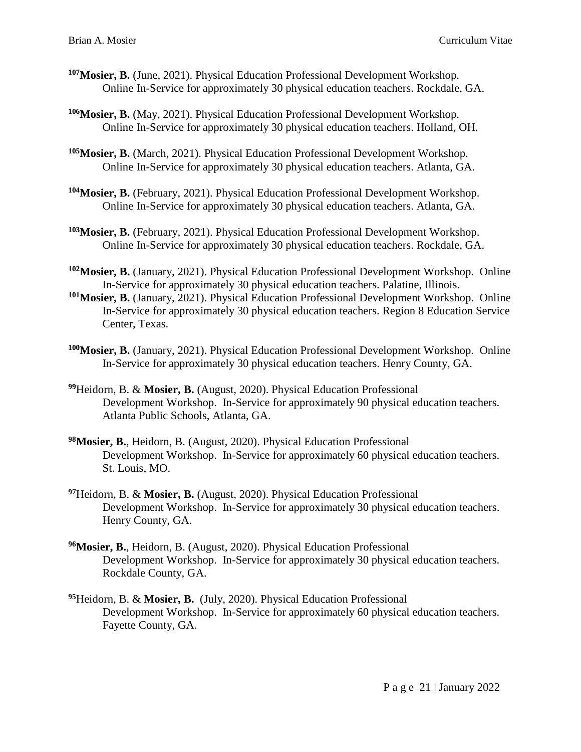- **<sup>107</sup>Mosier, B.** (June, 2021). Physical Education Professional Development Workshop. Online In-Service for approximately 30 physical education teachers. Rockdale, GA.
- **<sup>106</sup>Mosier, B.** (May, 2021). Physical Education Professional Development Workshop. Online In-Service for approximately 30 physical education teachers. Holland, OH.
- **<sup>105</sup>Mosier, B.** (March, 2021). Physical Education Professional Development Workshop. Online In-Service for approximately 30 physical education teachers. Atlanta, GA.
- **<sup>104</sup>Mosier, B.** (February, 2021). Physical Education Professional Development Workshop. Online In-Service for approximately 30 physical education teachers. Atlanta, GA.
- **<sup>103</sup>Mosier, B.** (February, 2021). Physical Education Professional Development Workshop. Online In-Service for approximately 30 physical education teachers. Rockdale, GA.
- **<sup>102</sup>Mosier, B.** (January, 2021). Physical Education Professional Development Workshop. Online In-Service for approximately 30 physical education teachers. Palatine, Illinois.
- **<sup>101</sup>Mosier, B.** (January, 2021). Physical Education Professional Development Workshop. Online In-Service for approximately 30 physical education teachers. Region 8 Education Service Center, Texas.
- **<sup>100</sup>Mosier, B.** (January, 2021). Physical Education Professional Development Workshop. Online In-Service for approximately 30 physical education teachers. Henry County, GA.
- **<sup>99</sup>**Heidorn, B. & **Mosier, B.** (August, 2020). Physical Education Professional Development Workshop. In-Service for approximately 90 physical education teachers. Atlanta Public Schools, Atlanta, GA.
- **<sup>98</sup>Mosier, B.**, Heidorn, B. (August, 2020). Physical Education Professional Development Workshop. In-Service for approximately 60 physical education teachers. St. Louis, MO.
- **<sup>97</sup>**Heidorn, B. & **Mosier, B.** (August, 2020). Physical Education Professional Development Workshop. In-Service for approximately 30 physical education teachers. Henry County, GA.
- **<sup>96</sup>Mosier, B.**, Heidorn, B. (August, 2020). Physical Education Professional Development Workshop. In-Service for approximately 30 physical education teachers. Rockdale County, GA.
- **<sup>95</sup>**Heidorn, B. & **Mosier, B.** (July, 2020). Physical Education Professional Development Workshop. In-Service for approximately 60 physical education teachers. Fayette County, GA.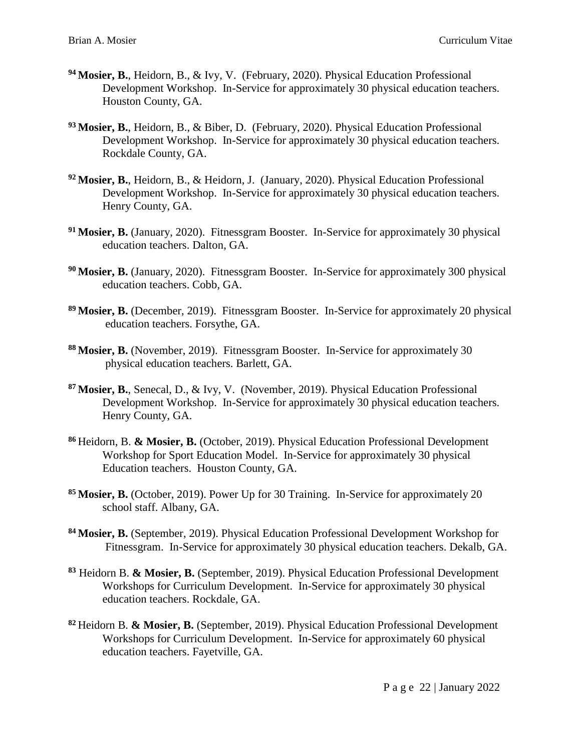- **<sup>94</sup> Mosier, B.**, Heidorn, B., & Ivy, V. (February, 2020). Physical Education Professional Development Workshop. In-Service for approximately 30 physical education teachers. Houston County, GA.
- **<sup>93</sup> Mosier, B.**, Heidorn, B., & Biber, D. (February, 2020). Physical Education Professional Development Workshop. In-Service for approximately 30 physical education teachers. Rockdale County, GA.
- **<sup>92</sup>Mosier, B.**, Heidorn, B., & Heidorn, J. (January, 2020). Physical Education Professional Development Workshop. In-Service for approximately 30 physical education teachers. Henry County, GA.
- **<sup>91</sup>Mosier, B.** (January, 2020). Fitnessgram Booster. In-Service for approximately 30 physical education teachers. Dalton, GA.
- **<sup>90</sup>Mosier, B.** (January, 2020). Fitnessgram Booster. In-Service for approximately 300 physical education teachers. Cobb, GA.
- **<sup>89</sup>Mosier, B.** (December, 2019). Fitnessgram Booster. In-Service for approximately 20 physical education teachers. Forsythe, GA.
- **<sup>88</sup>Mosier, B.** (November, 2019). Fitnessgram Booster. In-Service for approximately 30 physical education teachers. Barlett, GA.
- **<sup>87</sup>Mosier, B.**, Senecal, D., & Ivy, V. (November, 2019). Physical Education Professional Development Workshop. In-Service for approximately 30 physical education teachers. Henry County, GA.
- **<sup>86</sup>**Heidorn, B. **& Mosier, B.** (October, 2019). Physical Education Professional Development Workshop for Sport Education Model. In-Service for approximately 30 physical Education teachers. Houston County, GA.
- **<sup>85</sup>Mosier, B.** (October, 2019). Power Up for 30 Training. In-Service for approximately 20 school staff. Albany, GA.
- **<sup>84</sup>Mosier, B.** (September, 2019). Physical Education Professional Development Workshop for Fitnessgram. In-Service for approximately 30 physical education teachers. Dekalb, GA.
- **<sup>83</sup>** Heidorn B. **& Mosier, B.** (September, 2019). Physical Education Professional Development Workshops for Curriculum Development. In-Service for approximately 30 physical education teachers. Rockdale, GA.
- **<sup>82</sup>**Heidorn B. **& Mosier, B.** (September, 2019). Physical Education Professional Development Workshops for Curriculum Development. In-Service for approximately 60 physical education teachers. Fayetville, GA.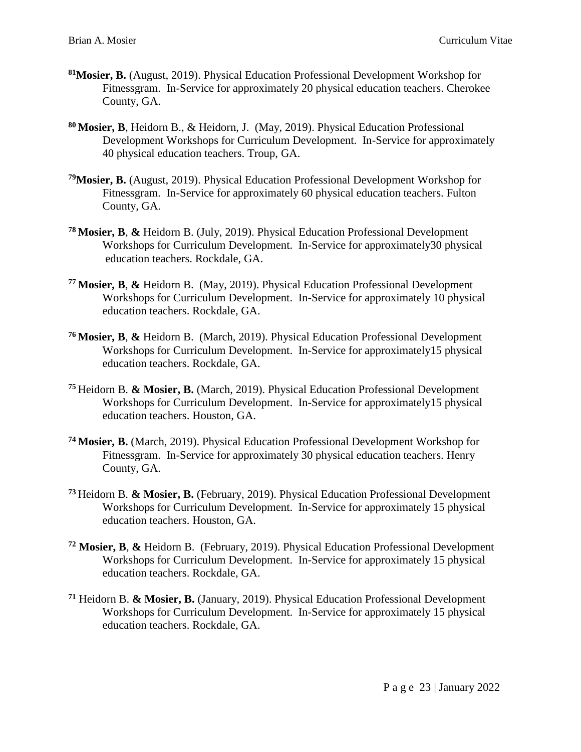- **<sup>81</sup>Mosier, B.** (August, 2019). Physical Education Professional Development Workshop for Fitnessgram. In-Service for approximately 20 physical education teachers. Cherokee County, GA.
- **<sup>80</sup>Mosier, B**, Heidorn B., & Heidorn, J. (May, 2019). Physical Education Professional Development Workshops for Curriculum Development. In-Service for approximately 40 physical education teachers. Troup, GA.
- **<sup>79</sup>Mosier, B.** (August, 2019). Physical Education Professional Development Workshop for Fitnessgram. In-Service for approximately 60 physical education teachers. Fulton County, GA.
- **<sup>78</sup>Mosier, B**, **&** Heidorn B. (July, 2019). Physical Education Professional Development Workshops for Curriculum Development. In-Service for approximately30 physical education teachers. Rockdale, GA.
- **<sup>77</sup>Mosier, B**, **&** Heidorn B. (May, 2019). Physical Education Professional Development Workshops for Curriculum Development. In-Service for approximately 10 physical education teachers. Rockdale, GA.
- **<sup>76</sup>Mosier, B**, **&** Heidorn B. (March, 2019). Physical Education Professional Development Workshops for Curriculum Development. In-Service for approximately15 physical education teachers. Rockdale, GA.
- **<sup>75</sup>**Heidorn B. **& Mosier, B.** (March, 2019). Physical Education Professional Development Workshops for Curriculum Development. In-Service for approximately15 physical education teachers. Houston, GA.
- **<sup>74</sup>Mosier, B.** (March, 2019). Physical Education Professional Development Workshop for Fitnessgram. In-Service for approximately 30 physical education teachers. Henry County, GA.
- **<sup>73</sup>**Heidorn B. **& Mosier, B.** (February, 2019). Physical Education Professional Development Workshops for Curriculum Development. In-Service for approximately 15 physical education teachers. Houston, GA.
- **<sup>72</sup> Mosier, B**, **&** Heidorn B. (February, 2019). Physical Education Professional Development Workshops for Curriculum Development. In-Service for approximately 15 physical education teachers. Rockdale, GA.
- **<sup>71</sup>** Heidorn B. **& Mosier, B.** (January, 2019). Physical Education Professional Development Workshops for Curriculum Development. In-Service for approximately 15 physical education teachers. Rockdale, GA.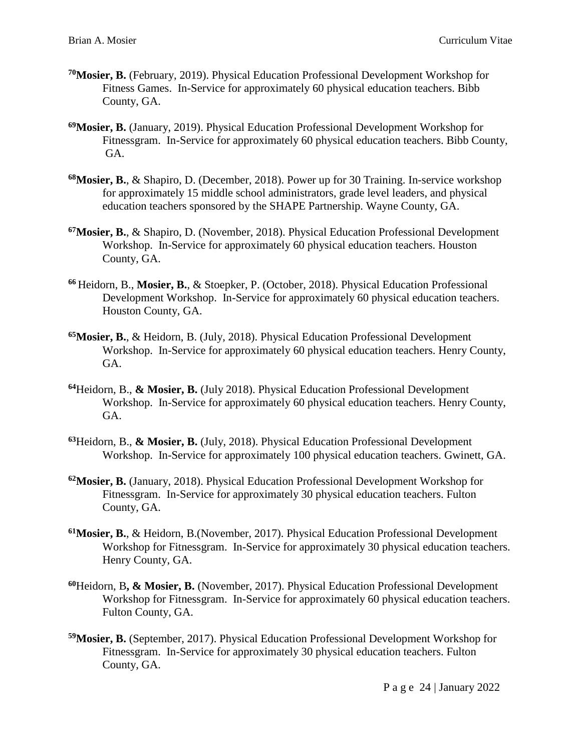- **<sup>70</sup>Mosier, B.** (February, 2019). Physical Education Professional Development Workshop for Fitness Games. In-Service for approximately 60 physical education teachers. Bibb County, GA.
- **<sup>69</sup>Mosier, B.** (January, 2019). Physical Education Professional Development Workshop for Fitnessgram. In-Service for approximately 60 physical education teachers. Bibb County, GA.
- **<sup>68</sup>Mosier, B.**, & Shapiro, D. (December, 2018). Power up for 30 Training. In-service workshop for approximately 15 middle school administrators, grade level leaders, and physical education teachers sponsored by the SHAPE Partnership. Wayne County, GA.
- **<sup>67</sup>Mosier, B.**, & Shapiro, D. (November, 2018). Physical Education Professional Development Workshop. In-Service for approximately 60 physical education teachers. Houston County, GA.
- **<sup>66</sup>**Heidorn, B., **Mosier, B.**, & Stoepker, P. (October, 2018). Physical Education Professional Development Workshop. In-Service for approximately 60 physical education teachers. Houston County, GA.
- **<sup>65</sup>Mosier, B.**, & Heidorn, B. (July, 2018). Physical Education Professional Development Workshop. In-Service for approximately 60 physical education teachers. Henry County, GA.
- **<sup>64</sup>**Heidorn, B., **& Mosier, B.** (July 2018). Physical Education Professional Development Workshop. In-Service for approximately 60 physical education teachers. Henry County, GA.
- **<sup>63</sup>**Heidorn, B., **& Mosier, B.** (July, 2018). Physical Education Professional Development Workshop. In-Service for approximately 100 physical education teachers. Gwinett, GA.
- **<sup>62</sup>Mosier, B.** (January, 2018). Physical Education Professional Development Workshop for Fitnessgram. In-Service for approximately 30 physical education teachers. Fulton County, GA.
- **<sup>61</sup>Mosier, B.**, & Heidorn, B.(November, 2017). Physical Education Professional Development Workshop for Fitnessgram. In-Service for approximately 30 physical education teachers. Henry County, GA.
- **<sup>60</sup>**Heidorn, B**, & Mosier, B.** (November, 2017). Physical Education Professional Development Workshop for Fitnessgram. In-Service for approximately 60 physical education teachers. Fulton County, GA.
- **<sup>59</sup>Mosier, B.** (September, 2017). Physical Education Professional Development Workshop for Fitnessgram. In-Service for approximately 30 physical education teachers. Fulton County, GA.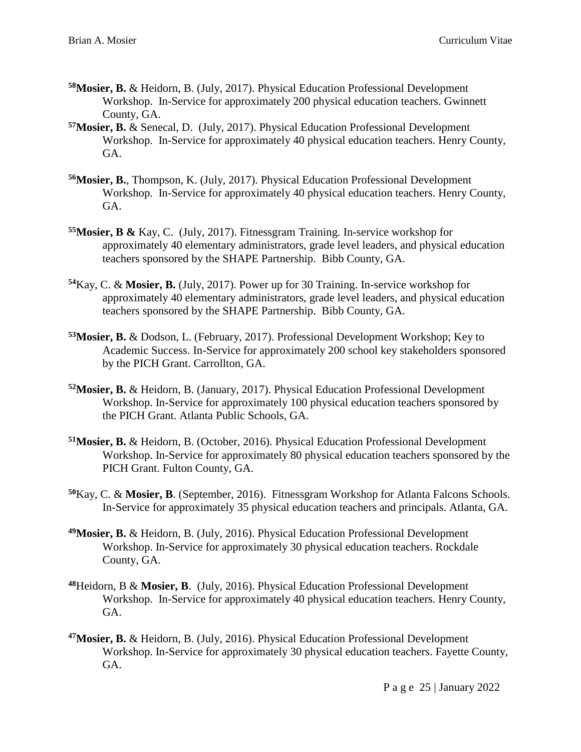- **<sup>58</sup>Mosier, B.** & Heidorn, B. (July, 2017). Physical Education Professional Development Workshop. In-Service for approximately 200 physical education teachers. Gwinnett County, GA.
- **<sup>57</sup>Mosier, B.** & Senecal, D. (July, 2017). Physical Education Professional Development Workshop. In-Service for approximately 40 physical education teachers. Henry County, GA.
- **<sup>56</sup>Mosier, B.**, Thompson, K. (July, 2017). Physical Education Professional Development Workshop. In-Service for approximately 40 physical education teachers. Henry County, GA.
- **<sup>55</sup>Mosier, B &** Kay, C. (July, 2017). Fitnessgram Training. In-service workshop for approximately 40 elementary administrators, grade level leaders, and physical education teachers sponsored by the SHAPE Partnership. Bibb County, GA.
- **<sup>54</sup>**Kay, C. & **Mosier, B.** (July, 2017). Power up for 30 Training. In-service workshop for approximately 40 elementary administrators, grade level leaders, and physical education teachers sponsored by the SHAPE Partnership. Bibb County, GA.
- **<sup>53</sup>Mosier, B.** & Dodson, L. (February, 2017). Professional Development Workshop; Key to Academic Success. In-Service for approximately 200 school key stakeholders sponsored by the PICH Grant. Carrollton, GA.
- **<sup>52</sup>Mosier, B.** & Heidorn, B. (January, 2017). Physical Education Professional Development Workshop. In-Service for approximately 100 physical education teachers sponsored by the PICH Grant. Atlanta Public Schools, GA.
- **<sup>51</sup>Mosier, B.** & Heidorn, B. (October, 2016). Physical Education Professional Development Workshop. In-Service for approximately 80 physical education teachers sponsored by the PICH Grant. Fulton County, GA.
- **<sup>50</sup>**Kay, C. & **Mosier, B**. (September, 2016). Fitnessgram Workshop for Atlanta Falcons Schools. In-Service for approximately 35 physical education teachers and principals. Atlanta, GA.
- **<sup>49</sup>Mosier, B.** & Heidorn, B. (July, 2016). Physical Education Professional Development Workshop. In-Service for approximately 30 physical education teachers. Rockdale County, GA.
- **<sup>48</sup>**Heidorn, B & **Mosier, B**. (July, 2016). Physical Education Professional Development Workshop. In-Service for approximately 40 physical education teachers. Henry County, GA.
- **<sup>47</sup>Mosier, B.** & Heidorn, B. (July, 2016). Physical Education Professional Development Workshop. In-Service for approximately 30 physical education teachers. Fayette County, GA.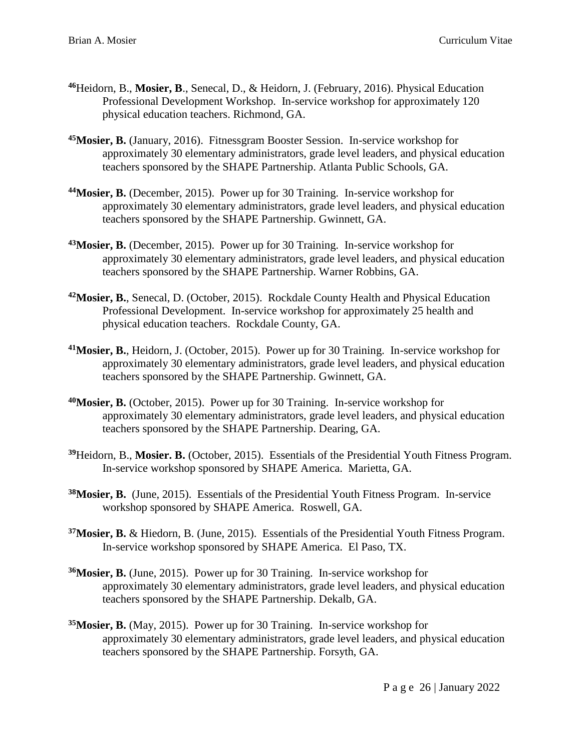- **<sup>46</sup>**Heidorn, B., **Mosier, B**., Senecal, D., & Heidorn, J. (February, 2016). Physical Education Professional Development Workshop. In-service workshop for approximately 120 physical education teachers. Richmond, GA.
- **<sup>45</sup>Mosier, B.** (January, 2016). Fitnessgram Booster Session. In-service workshop for approximately 30 elementary administrators, grade level leaders, and physical education teachers sponsored by the SHAPE Partnership. Atlanta Public Schools, GA.
- **<sup>44</sup>Mosier, B.** (December, 2015). Power up for 30 Training. In-service workshop for approximately 30 elementary administrators, grade level leaders, and physical education teachers sponsored by the SHAPE Partnership. Gwinnett, GA.
- **<sup>43</sup>Mosier, B.** (December, 2015). Power up for 30 Training. In-service workshop for approximately 30 elementary administrators, grade level leaders, and physical education teachers sponsored by the SHAPE Partnership. Warner Robbins, GA.
- **<sup>42</sup>Mosier, B.**, Senecal, D. (October, 2015). Rockdale County Health and Physical Education Professional Development. In-service workshop for approximately 25 health and physical education teachers. Rockdale County, GA.
- **<sup>41</sup>Mosier, B.**, Heidorn, J. (October, 2015). Power up for 30 Training. In-service workshop for approximately 30 elementary administrators, grade level leaders, and physical education teachers sponsored by the SHAPE Partnership. Gwinnett, GA.
- **<sup>40</sup>Mosier, B.** (October, 2015). Power up for 30 Training. In-service workshop for approximately 30 elementary administrators, grade level leaders, and physical education teachers sponsored by the SHAPE Partnership. Dearing, GA.
- **<sup>39</sup>**Heidorn, B., **Mosier. B.** (October, 2015). Essentials of the Presidential Youth Fitness Program. In-service workshop sponsored by SHAPE America. Marietta, GA.
- **<sup>38</sup>Mosier, B.** (June, 2015). Essentials of the Presidential Youth Fitness Program. In-service workshop sponsored by SHAPE America. Roswell, GA.
- **<sup>37</sup>Mosier, B.** & Hiedorn, B. (June, 2015). Essentials of the Presidential Youth Fitness Program. In-service workshop sponsored by SHAPE America. El Paso, TX.
- **<sup>36</sup>Mosier, B.** (June, 2015). Power up for 30 Training. In-service workshop for approximately 30 elementary administrators, grade level leaders, and physical education teachers sponsored by the SHAPE Partnership. Dekalb, GA.
- **<sup>35</sup>Mosier, B.** (May, 2015). Power up for 30 Training. In-service workshop for approximately 30 elementary administrators, grade level leaders, and physical education teachers sponsored by the SHAPE Partnership. Forsyth, GA.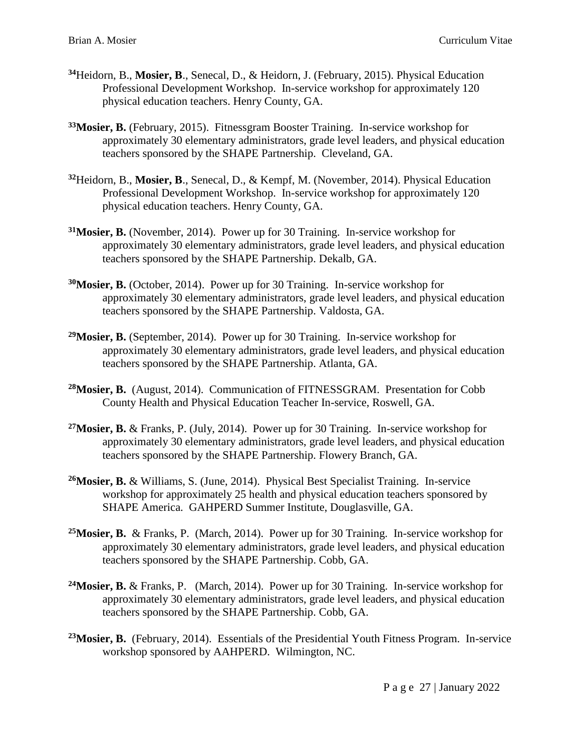- **<sup>34</sup>**Heidorn, B., **Mosier, B**., Senecal, D., & Heidorn, J. (February, 2015). Physical Education Professional Development Workshop. In-service workshop for approximately 120 physical education teachers. Henry County, GA.
- **<sup>33</sup>Mosier, B.** (February, 2015). Fitnessgram Booster Training. In-service workshop for approximately 30 elementary administrators, grade level leaders, and physical education teachers sponsored by the SHAPE Partnership. Cleveland, GA.
- **<sup>32</sup>**Heidorn, B., **Mosier, B**., Senecal, D., & Kempf, M. (November, 2014). Physical Education Professional Development Workshop. In-service workshop for approximately 120 physical education teachers. Henry County, GA.
- **<sup>31</sup>Mosier, B.** (November, 2014). Power up for 30 Training. In-service workshop for approximately 30 elementary administrators, grade level leaders, and physical education teachers sponsored by the SHAPE Partnership. Dekalb, GA.
- **<sup>30</sup>Mosier, B.** (October, 2014). Power up for 30 Training. In-service workshop for approximately 30 elementary administrators, grade level leaders, and physical education teachers sponsored by the SHAPE Partnership. Valdosta, GA.
- **<sup>29</sup>Mosier, B.** (September, 2014). Power up for 30 Training. In-service workshop for approximately 30 elementary administrators, grade level leaders, and physical education teachers sponsored by the SHAPE Partnership. Atlanta, GA.
- **<sup>28</sup>Mosier, B.** (August, 2014). Communication of FITNESSGRAM. Presentation for Cobb County Health and Physical Education Teacher In-service, Roswell, GA.
- **<sup>27</sup>Mosier, B.** & Franks, P. (July, 2014). Power up for 30 Training. In-service workshop for approximately 30 elementary administrators, grade level leaders, and physical education teachers sponsored by the SHAPE Partnership. Flowery Branch, GA.
- **<sup>26</sup>Mosier, B.** & Williams, S. (June, 2014). Physical Best Specialist Training. In-service workshop for approximately 25 health and physical education teachers sponsored by SHAPE America. GAHPERD Summer Institute, Douglasville, GA.
- **<sup>25</sup>Mosier, B.** & Franks, P. (March, 2014). Power up for 30 Training. In-service workshop for approximately 30 elementary administrators, grade level leaders, and physical education teachers sponsored by the SHAPE Partnership. Cobb, GA.
- **<sup>24</sup>Mosier, B.** & Franks, P.(March, 2014). Power up for 30 Training. In-service workshop for approximately 30 elementary administrators, grade level leaders, and physical education teachers sponsored by the SHAPE Partnership. Cobb, GA.
- **<sup>23</sup>Mosier, B.** (February, 2014). Essentials of the Presidential Youth Fitness Program. In-service workshop sponsored by AAHPERD. Wilmington, NC.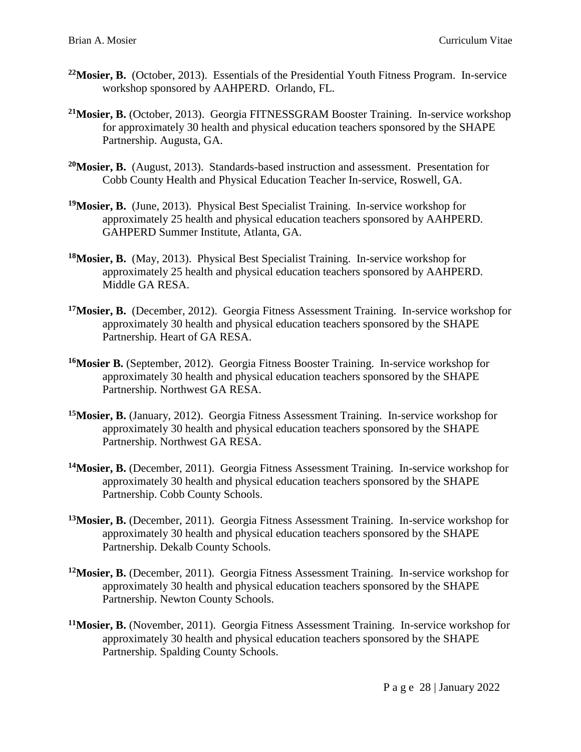- **<sup>22</sup>Mosier, B.** (October, 2013). Essentials of the Presidential Youth Fitness Program. In-service workshop sponsored by AAHPERD. Orlando, FL.
- **<sup>21</sup>Mosier, B.** (October, 2013). Georgia FITNESSGRAM Booster Training. In-service workshop for approximately 30 health and physical education teachers sponsored by the SHAPE Partnership. Augusta, GA.
- **<sup>20</sup>Mosier, B.** (August, 2013). Standards-based instruction and assessment. Presentation for Cobb County Health and Physical Education Teacher In-service, Roswell, GA.
- **<sup>19</sup>Mosier, B.** (June, 2013). Physical Best Specialist Training. In-service workshop for approximately 25 health and physical education teachers sponsored by AAHPERD. GAHPERD Summer Institute, Atlanta, GA.
- **<sup>18</sup>Mosier, B.** (May, 2013). Physical Best Specialist Training. In-service workshop for approximately 25 health and physical education teachers sponsored by AAHPERD. Middle GA RESA.
- **<sup>17</sup>Mosier, B.** (December, 2012). Georgia Fitness Assessment Training. In-service workshop for approximately 30 health and physical education teachers sponsored by the SHAPE Partnership. Heart of GA RESA.
- **<sup>16</sup>Mosier B.** (September, 2012). Georgia Fitness Booster Training. In-service workshop for approximately 30 health and physical education teachers sponsored by the SHAPE Partnership. Northwest GA RESA.
- **<sup>15</sup>Mosier, B.** (January, 2012). Georgia Fitness Assessment Training. In-service workshop for approximately 30 health and physical education teachers sponsored by the SHAPE Partnership. Northwest GA RESA.
- **<sup>14</sup>Mosier, B.** (December, 2011). Georgia Fitness Assessment Training. In-service workshop for approximately 30 health and physical education teachers sponsored by the SHAPE Partnership. Cobb County Schools.
- **<sup>13</sup>Mosier, B.** (December, 2011). Georgia Fitness Assessment Training. In-service workshop for approximately 30 health and physical education teachers sponsored by the SHAPE Partnership. Dekalb County Schools.
- **<sup>12</sup>Mosier, B.** (December, 2011). Georgia Fitness Assessment Training. In-service workshop for approximately 30 health and physical education teachers sponsored by the SHAPE Partnership. Newton County Schools.
- **<sup>11</sup>Mosier, B.** (November, 2011). Georgia Fitness Assessment Training. In-service workshop for approximately 30 health and physical education teachers sponsored by the SHAPE Partnership. Spalding County Schools.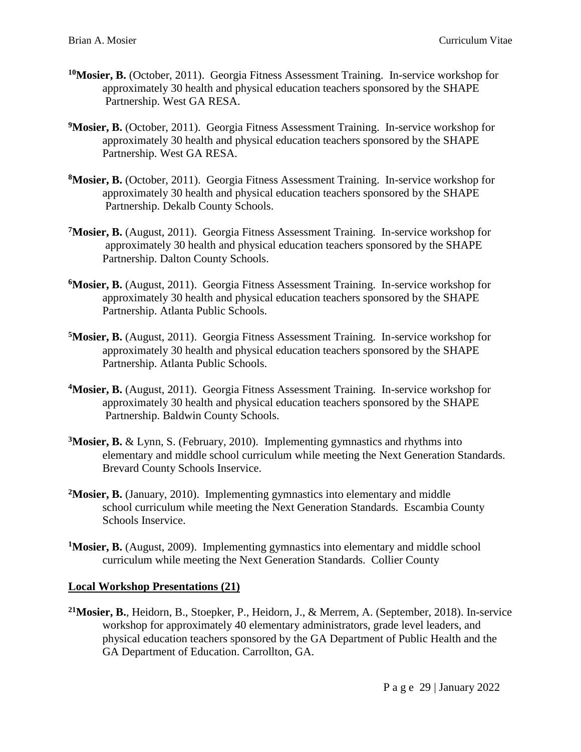- **<sup>10</sup>Mosier, B.** (October, 2011). Georgia Fitness Assessment Training. In-service workshop for approximately 30 health and physical education teachers sponsored by the SHAPE Partnership. West GA RESA.
- <sup>9</sup>Mosier, B. (October, 2011). Georgia Fitness Assessment Training. In-service workshop for approximately 30 health and physical education teachers sponsored by the SHAPE Partnership. West GA RESA.
- **<sup>8</sup>Mosier, B.** (October, 2011). Georgia Fitness Assessment Training. In-service workshop for approximately 30 health and physical education teachers sponsored by the SHAPE Partnership. Dekalb County Schools.
- **<sup>7</sup>Mosier, B.** (August, 2011). Georgia Fitness Assessment Training. In-service workshop for approximately 30 health and physical education teachers sponsored by the SHAPE Partnership. Dalton County Schools.
- **<sup>6</sup>Mosier, B.** (August, 2011). Georgia Fitness Assessment Training. In-service workshop for approximately 30 health and physical education teachers sponsored by the SHAPE Partnership. Atlanta Public Schools.
- **<sup>5</sup>Mosier, B.** (August, 2011). Georgia Fitness Assessment Training. In-service workshop for approximately 30 health and physical education teachers sponsored by the SHAPE Partnership. Atlanta Public Schools.
- **<sup>4</sup>Mosier, B.** (August, 2011). Georgia Fitness Assessment Training. In-service workshop for approximately 30 health and physical education teachers sponsored by the SHAPE Partnership. Baldwin County Schools.
- **<sup>3</sup>Mosier, B.** & Lynn, S. (February, 2010). Implementing gymnastics and rhythms into elementary and middle school curriculum while meeting the Next Generation Standards. Brevard County Schools Inservice.
- **<sup>2</sup>Mosier, B.** (January, 2010). Implementing gymnastics into elementary and middle school curriculum while meeting the Next Generation Standards. Escambia County Schools Inservice.
- **<sup>1</sup>Mosier, B.** (August, 2009). Implementing gymnastics into elementary and middle school curriculum while meeting the Next Generation Standards. Collier County

#### **Local Workshop Presentations (21)**

**<sup>21</sup>Mosier, B.**, Heidorn, B., Stoepker, P., Heidorn, J., & Merrem, A. (September, 2018). In-service workshop for approximately 40 elementary administrators, grade level leaders, and physical education teachers sponsored by the GA Department of Public Health and the GA Department of Education. Carrollton, GA.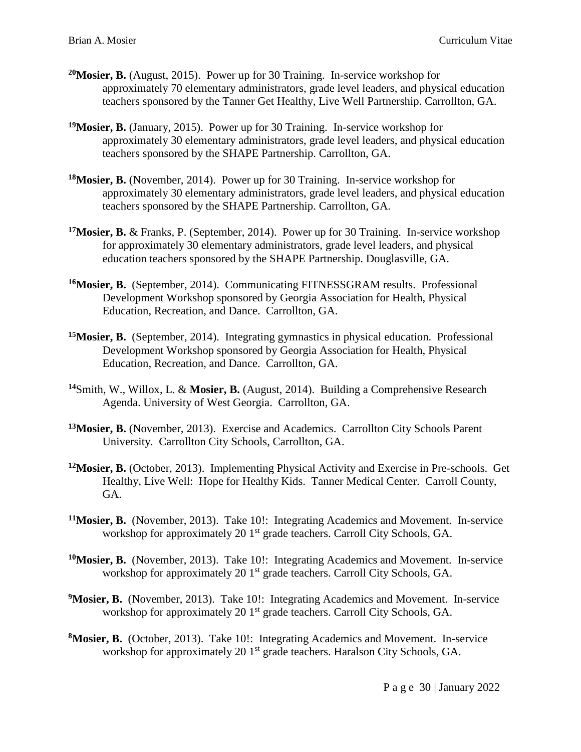- **<sup>20</sup>Mosier, B.** (August, 2015). Power up for 30 Training. In-service workshop for approximately 70 elementary administrators, grade level leaders, and physical education teachers sponsored by the Tanner Get Healthy, Live Well Partnership. Carrollton, GA.
- **<sup>19</sup>Mosier, B.** (January, 2015). Power up for 30 Training. In-service workshop for approximately 30 elementary administrators, grade level leaders, and physical education teachers sponsored by the SHAPE Partnership. Carrollton, GA.
- **<sup>18</sup>Mosier, B.** (November, 2014). Power up for 30 Training. In-service workshop for approximately 30 elementary administrators, grade level leaders, and physical education teachers sponsored by the SHAPE Partnership. Carrollton, GA.
- **<sup>17</sup>Mosier, B.** & Franks, P. (September, 2014). Power up for 30 Training. In-service workshop for approximately 30 elementary administrators, grade level leaders, and physical education teachers sponsored by the SHAPE Partnership. Douglasville, GA.
- **<sup>16</sup>Mosier, B.** (September, 2014). Communicating FITNESSGRAM results. Professional Development Workshop sponsored by Georgia Association for Health, Physical Education, Recreation, and Dance. Carrollton, GA.
- **<sup>15</sup>Mosier, B.** (September, 2014). Integrating gymnastics in physical education. Professional Development Workshop sponsored by Georgia Association for Health, Physical Education, Recreation, and Dance. Carrollton, GA.
- **<sup>14</sup>**Smith, W., Willox, L. & **Mosier, B.** (August, 2014). Building a Comprehensive Research Agenda. University of West Georgia. Carrollton, GA.
- **<sup>13</sup>Mosier, B.** (November, 2013). Exercise and Academics. Carrollton City Schools Parent University. Carrollton City Schools, Carrollton, GA.
- **<sup>12</sup>Mosier, B.** (October, 2013). Implementing Physical Activity and Exercise in Pre-schools. Get Healthy, Live Well: Hope for Healthy Kids. Tanner Medical Center. Carroll County, GA.
- **<sup>11</sup>Mosier, B.** (November, 2013). Take 10!: Integrating Academics and Movement. In-service workshop for approximately 20 1<sup>st</sup> grade teachers. Carroll City Schools, GA.
- **<sup>10</sup>Mosier, B.** (November, 2013). Take 10!: Integrating Academics and Movement. In-service workshop for approximately 20 1<sup>st</sup> grade teachers. Carroll City Schools, GA.
- <sup>9</sup>Mosier, B. (November, 2013). Take 10!: Integrating Academics and Movement. In-service workshop for approximately 20 1<sup>st</sup> grade teachers. Carroll City Schools, GA.
- **<sup>8</sup>Mosier, B.** (October, 2013). Take 10!: Integrating Academics and Movement. In-service workshop for approximately 20 1<sup>st</sup> grade teachers. Haralson City Schools, GA.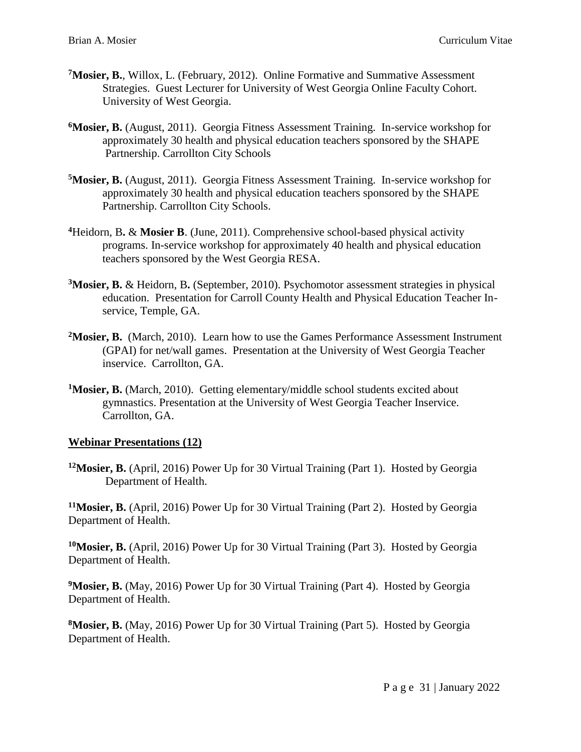- **<sup>7</sup>Mosier, B.**, Willox, L. (February, 2012). Online Formative and Summative Assessment Strategies. Guest Lecturer for University of West Georgia Online Faculty Cohort. University of West Georgia.
- **<sup>6</sup>Mosier, B.** (August, 2011). Georgia Fitness Assessment Training. In-service workshop for approximately 30 health and physical education teachers sponsored by the SHAPE Partnership. Carrollton City Schools
- **<sup>5</sup>Mosier, B.** (August, 2011). Georgia Fitness Assessment Training. In-service workshop for approximately 30 health and physical education teachers sponsored by the SHAPE Partnership. Carrollton City Schools.
- **<sup>4</sup>**Heidorn, B**.** & **Mosier B**. (June, 2011). Comprehensive school-based physical activity programs. In-service workshop for approximately 40 health and physical education teachers sponsored by the West Georgia RESA.
- **<sup>3</sup>Mosier, B.** & Heidorn, B**.** (September, 2010). Psychomotor assessment strategies in physical education. Presentation for Carroll County Health and Physical Education Teacher Inservice, Temple, GA.
- **<sup>2</sup>Mosier, B.** (March, 2010). Learn how to use the Games Performance Assessment Instrument (GPAI) for net/wall games. Presentation at the University of West Georgia Teacher inservice. Carrollton, GA.
- **<sup>1</sup>Mosier, B.** (March, 2010). Getting elementary/middle school students excited about gymnastics. Presentation at the University of West Georgia Teacher Inservice. Carrollton, GA.

#### **Webinar Presentations (12)**

**<sup>12</sup>Mosier, B.** (April, 2016) Power Up for 30 Virtual Training (Part 1). Hosted by Georgia Department of Health.

**<sup>11</sup>Mosier, B.** (April, 2016) Power Up for 30 Virtual Training (Part 2). Hosted by Georgia Department of Health.

**<sup>10</sup>Mosier, B.** (April, 2016) Power Up for 30 Virtual Training (Part 3). Hosted by Georgia Department of Health.

<sup>9</sup>Mosier, B. (May, 2016) Power Up for 30 Virtual Training (Part 4). Hosted by Georgia Department of Health.

**<sup>8</sup>Mosier, B.** (May, 2016) Power Up for 30 Virtual Training (Part 5). Hosted by Georgia Department of Health.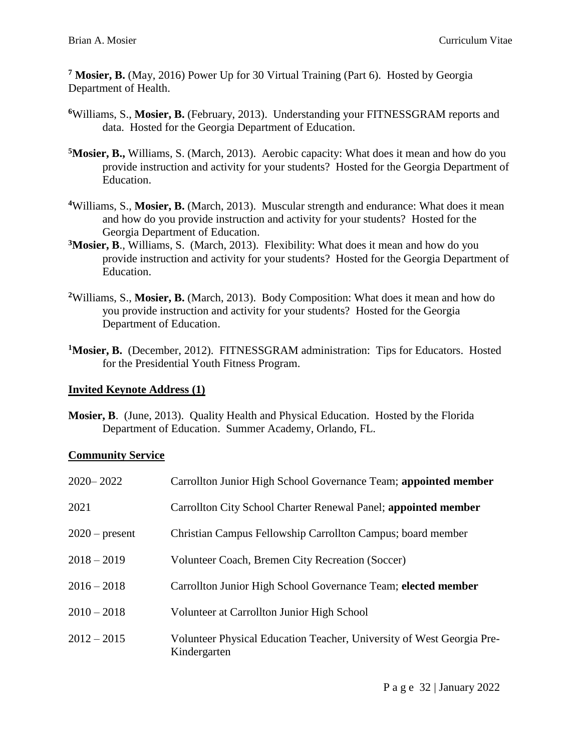**<sup>7</sup> Mosier, B.** (May, 2016) Power Up for 30 Virtual Training (Part 6). Hosted by Georgia Department of Health.

- **<sup>6</sup>**Williams, S., **Mosier, B.** (February, 2013). Understanding your FITNESSGRAM reports and data. Hosted for the Georgia Department of Education.
- **<sup>5</sup>Mosier, B.,** Williams, S. (March, 2013). Aerobic capacity: What does it mean and how do you provide instruction and activity for your students? Hosted for the Georgia Department of Education.
- **<sup>4</sup>**Williams, S., **Mosier, B.** (March, 2013). Muscular strength and endurance: What does it mean and how do you provide instruction and activity for your students? Hosted for the Georgia Department of Education.
- **<sup>3</sup>Mosier, B**., Williams, S. (March, 2013). Flexibility: What does it mean and how do you provide instruction and activity for your students? Hosted for the Georgia Department of Education.
- **<sup>2</sup>**Williams, S., **Mosier, B.** (March, 2013). Body Composition: What does it mean and how do you provide instruction and activity for your students? Hosted for the Georgia Department of Education.
- <sup>1</sup>Mosier, B. (December, 2012). FITNESSGRAM administration: Tips for Educators. Hosted for the Presidential Youth Fitness Program.

# **Invited Keynote Address (1)**

**Mosier, B**. (June, 2013). Quality Health and Physical Education. Hosted by the Florida Department of Education. Summer Academy, Orlando, FL.

# **Community Service**

| $2020 - 2022$    | Carrollton Junior High School Governance Team; appointed member                       |
|------------------|---------------------------------------------------------------------------------------|
| 2021             | Carrollton City School Charter Renewal Panel; appointed member                        |
| $2020$ – present | Christian Campus Fellowship Carrollton Campus; board member                           |
| $2018 - 2019$    | Volunteer Coach, Bremen City Recreation (Soccer)                                      |
| $2016 - 2018$    | Carrollton Junior High School Governance Team; elected member                         |
| $2010 - 2018$    | Volunteer at Carrollton Junior High School                                            |
| $2012 - 2015$    | Volunteer Physical Education Teacher, University of West Georgia Pre-<br>Kindergarten |